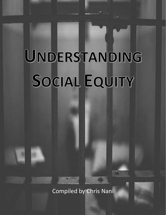# UNDERSTANDING SOCIAL EQUITY

Compiled by Chris Nani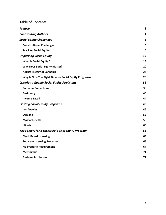|  | <b>Table of Contents</b> |
|--|--------------------------|
|  |                          |

| Preface                                                   | $\boldsymbol{3}$ |
|-----------------------------------------------------------|------------------|
| <b>Contributing Authors</b>                               | 4                |
| <b>Social Equity Challenges</b>                           | 5                |
| <b>Constitutional Challenges</b>                          | 5                |
| <b>Tracking Social Equity</b>                             | 10               |
| <b>Unpacking Social Equity</b>                            | 13               |
| <b>What Is Social Equity?</b>                             | 13               |
| <b>Why Does Social Equity Matter?</b>                     | 20               |
| A Brief History of Cannabis                               | 24               |
| Why Is Now The Right Time for Social Equity Programs?     | 28               |
| <b>Criteria to Qualify Social Equity Applicants</b>       | 36               |
| <b>Cannabis Convictions</b>                               | 36               |
| Residency                                                 | 40               |
| <b>Income Based</b>                                       | 44               |
| <b>Existing Social Equity Programs</b>                    | 46               |
| <b>Los Angeles</b>                                        | 46               |
| <b>Oakland</b>                                            | 52               |
| <b>Massachusetts</b>                                      | 56               |
| <b>Illinois</b>                                           | 60               |
| <b>Key Factors for a Successful Social Equity Program</b> | 63               |
| <b>Merit Based Licensing</b>                              | 63               |
| <b>Separate Licensing Processes</b>                       | 65               |
| <b>No Property Requirement</b>                            | 67               |
| Mentorship                                                | 71               |
| <b>Business Incubators</b>                                | 77               |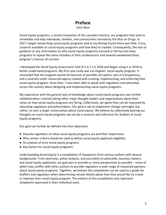## **Preface**

*Chris Nani*

<span id="page-2-0"></span>Social equity programs, a recent innovation of the cannabis industry, are programs that seek to remediate and help individuals, families, and communities harmed by the War on Drugs. In 2017 I began researching social equity programs and to my dismay found there was little, if any, research available on social equity programs and how they're created. Consequently, the lack of guidance or any information on why social equity programs succeed or fail has led many programs to repeat the same mistakes of their predecessors and severely weakened those program's chances of survival.

I developed the Social Equity Assessment Tool (S.E.A.T.) in 2018 and began using it in 2019 to better understand programs. My first case study was Los Angeles' social equity program. It concluded that the program would fail because of possible corruption, lack of transparency, and a severely under-resourced agency tasked with creating, implementing, and enforcing their social equity program. Since then, I have been able to speak with regulators and advocates across the country about designing and implementing social equity programs.

My experience with the general lack of knowledge about social equity programs was further validated when I started asking other major thought leaders and organizations about their views on how social equity programs are faring. Collectively, we agree they can be improved by educating regulators and policymakers. Our goal is not to implement change overnight, but rather, to start a larger conversation about social equity. We believe by collectively bearing our thoughts on social equity programs we can be a resource and reference for drafters of social equity programs.

Our goal can further be defined into four objectives:

- Educate regulators on what social equity programs are and their importance.
- Why certain criteria should be used to define social equity applicant eligibility.
- An analysis of prior social equity programs.
- Key factors for social equity programs.

*Understanding Social Equity* is a compilation of viewpoints from various authors with diverse backgrounds. From attorneys, policy analysts, and journalists to advocates, business owners, and social equity applicants, my goal was to provide as many perspectives as possible – some of which may conflict with other authors to provide regulators a wide range of respected opinions about social equity programs. Together, we believe this compilation can be used as a guide for drafters and regulators when determining minute details about how they would like to create or improve their social equity program. The authors of this compilation only represent viewpoints expressed in their individual work.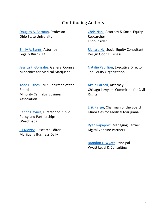### Contributing Authors

<span id="page-3-0"></span>[Douglas A. Berman,](https://www.linkedin.com/in/douglas-berman-65329632/) Professor Ohio State University

[Emily A. Burns,](https://www.linkedin.com/in/legallyburns/) Attorney Legally Burns LLC

[Jessica F. Gonzalez,](https://www.linkedin.com/in/jessicagonzalez613/) General Counsel Minorities for Medical Marijuana

[Todd Hughes](https://www.linkedin.com/in/todd-hughes-pmp-12014647/) PMP, Chairman of the Board Minority Cannabis Business Association

[Cedric Haynes,](https://www.linkedin.com/in/cedric-haynes-5bb46143/) Director of Public Policy and Partnerships Weedmaps

[Eli McVey,](https://www.linkedin.com/in/eli-mcvey-2b8a8a54/) Research Editor Marijuana Business Daily

[Chris Nani,](https://www.linkedin.com/in/chris-nani-651623aa/) Attorney & Social Equity Researcher Endo Insider

[Richard Ng,](https://www.linkedin.com/in/richng/) Social Equity Consultant Design Good Business

[Natalie Papillion,](https://www.linkedin.com/in/nataliepapillion/) Executive Director The Equity Organization

[Akele Parnell,](https://www.linkedin.com/in/akele-parnell-52127028/) Attorney Chicago Lawyers' Committee for Civil Rights

[Erik Range,](https://www.linkedin.com/in/erange/) Chairman of the Board Minorities for Medical Marijuana

[Ryan Rapaport,](https://www.linkedin.com/in/ryanvevonrapaport/) Managing Partner Digital Venture Partners

[Brandon L. Wyatt,](https://www.linkedin.com/in/brandon-l-wyatt-esq-a3373115/) Principal Wyatt Legal & Consulting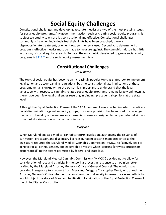# **Social Equity Challenges**

<span id="page-4-0"></span>Constitutional challenges and developing accurate metrics are two of the most pressing issues for social equity programs. Any government action, such as creating social equity programs, is subject to scrutiny to ensure it's constitutional and effective. Constitutional challenges commonly arise when individuals feel their rights have been breached, there is disproportionate treatment, or when taxpayer money is used. Secondly, to determine if a program is effective metrics must be made to measure against. The cannabis industry has little in the way of social equity research. To date, the only metric developed to gauge social equity programs is [S.E.A.T.](https://papers.ssrn.com/sol3/papers.cfm?abstract_id=3312114) or the social equity assessment tool.

## **Constitutional Challenges**

*Emily Burns*

<span id="page-4-1"></span>The topic of social equity has become an increasingly popular topic as states look to implement legalization and accompanying regulations, but the constitutional law implications of these programs remains unknown. At the outset, it is important to understand that the legal landscape with respect to cannabis-related social equity programs remains largely unknown, as there have been few legal challenges resulting in binding, precedential opinions at the state level.

Although the Equal Protection Clause of the 14<sup>th</sup> Amendment was enacted in order to eradicate racial discrimination against minority groups, this same provision has been used to challenge the constitutionality of race-conscious, remedial measures designed to compensate individuals from past discrimination in the cannabis industry.

#### *Maryland*

When Maryland enacted medical cannabis reform legislation, authorizing the issuance of cultivation, processor, and dispensary licenses pursuant to state-mandated criteria, the legislature required the Maryland Medical Cannabis Commission (MMCC) to "actively seek to achieve racial, ethnic, gender, and geographic diversity when licensing [growers, processors, dispensaries]" to the extent permitted by federal and State law.

However, the Maryland Medical Cannabis Commission ("MMCC") decided not to allow for consideration of race and ethnicity in the scoring process in response to an opinion letter drafted by the Maryland Attorney General's Office of General Counsel. The opinion was provided in response to a request from Maryland Delegate Christopher West, who asked the Attorney General's Office whether the consideration of diversity in terms of race and ethnicity would subject the state of Maryland to litigation for violation of the Equal Protection Clause of the United States Constitution.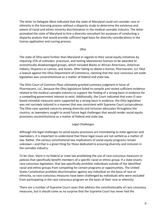The letter to Delegate West indicated that the state of Maryland could not consider race or ethnicity in the licensing process without a disparity study to determine the existence and extent of racial and ethnic minority discrimination in the medical cannabis industry. The letter prompted the state of Maryland to hire a diversity consultant for purposes of conducting a disparity analysis that would provide sufficient legal basis for diversity considerations in the license application and scoring process.

*Ohio*

The state of Ohio went further than Maryland in regards to their social equity initiatives by requiring 15% of cultivator, processor, and testing laboratories licenses to be awarded to economically disadvantaged groups, which included Blacks or African Americans, American Indians, Hispanics or Latinos, and Asians. After failing to obtain a license, Pharmacann, LLC filed a lawsuit against the Ohio Department of Commerce, claiming that the race-conscious set-aside legislation was unconstitutional as a matter of federal and state law.

The Ohio Court of Common Pleas ultimately granted summary judgment in favor of Pharmacann, LLC, because the Ohio legislature failed to compile and review sufficient evidence related to the medical cannabis industry to support the finding of a strong basis in evidence for a compelling government interest to exist. Additionally, the Court indicated that even if racebased remedial measures were supported by a strong basis in evidence, the Ohio legislation was not narrowly tailored in a manner that was consistent with Supreme Court jurisprudence. The Ohio case sparked concerns among diversity and inclusion advocates throughout the country, as lawmakers sought to avoid future legal challenges that would render social equity provisions unconstitutional as a matter of federal and state law.

#### *Legal Challenges*

Although the legal challenges to social equity provisions are intimidating to state agencies and lawmakers, it is important to understand that these legal issues are not settled as a matter of law. Rather, the various constitutional law implications of social equity programs remain unknown—and that is a great thing for those dedicated to ensuring diversity and inclusion in the cannabis industry.

To be clear, there is no federal or state law prohibiting the use of race-conscious measures or policies that specifically benefit members of a specific racial or ethnic group. If a state enacts race-conscious legislation, that law specifically prohibits individuals outside of the identified racial and ethnic groups from competing for certain programs or opportunities. The United States Constitution prohibits discrimination against any individual on the basis of race or ethnicity, so race-conscious measures have been challenged by individuals who were excluded from participating in the race-conscious program on the basis of their race or ethnicity.

There are a number of Supreme Court cases that address the constitutionality of race-conscious measures, but it should come as no surprise that the Supreme Court has never had the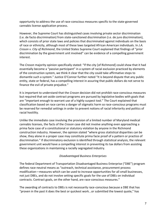opportunity to address the use of race-conscious measures specific to the state-governed cannabis license application process.

However, the Supreme Court has distinguished cases involving private sector discrimination (i.e. de facto discrimination) from state-sanctioned discrimination (i.e. de jure discrimination), which consists of prior state laws and policies that discriminated against individuals on the basis of race or ethnicity, although most of these laws targeted African American individuals. In *J.A. Croson v. City of Richmond*, the United States Supreme Court explained that findings of "prior discrimination by the government unit involved" can be evidence of a compelling government interest.

The *Croson* majority opinion specifically stated: "If the city [of Richmond] could show that it had essentially become a "passive participant" in a system of racial exclusion practiced by elements of the construction system, we think it clear that the city could take affirmative steps to dismantle such a system." Justice O'Connor further noted "It is beyond dispute that any public entity, state or federal, has a compelling interest in assuring that public dollars do not serve to finance the evil of private prejudice."

It is important to understand that the *Croson* decision did not prohibit race-conscious measures but required that set-aside contract programs are pursued by legislative bodies with goals that are "important enough to warrant use of a highly suspect tool." The Court explained that classification based on race carries a danger of stigmatic harm so race-conscious programs must be reserved for remedial settings in order to prevent notions of racial inferiority and politics of racial hostility.

Unlike the immediate case involving the provision of a limited number of Maryland medical cannabis licenses, the facts of the *Croson* case did not involve anything even approaching a prima facie case of a constitutional or statutory violation by anyone in the Richmond construction industry. However, the opinion stated "where gross statistical disparities can be show, they alone in a proper case may constitute prima facie proof of a pattern or practice of discrimination." If discriminatory exclusion is identified through statistical analysis, the relevant government unit would have a compelling interest in preventing its tax dollars from assisting these organizations in maintaining a racially segregated industry.

#### *Disadvantaged Business Enterprises*

The federal Department of Transportation Disadvantaged Business Enterprise ("DBE") program defines race-neutral means as "outreach, technical assistance, procurement process modification—measures which can be used to increase opportunities for all small businesses, not just DBEs, and do not involve setting specific goals for the use of DBEs on individual contracts. Contract goals, on the other hand, are race-conscious measures."

The awarding of contracts to DBEs is not necessarily race-conscious because a DBE that has "proven in the past it does the best or quickest work...or submitted the lowest quote," has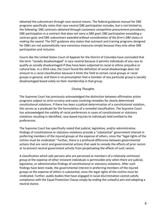obtained the subcontract through race-neutral means. The federal guidance manual for DBE programs specifically notes that race-neutral DBE participation includes, but is not limited to, the following: DBE contracts *obtained through customary competitive procurement procedures*; DBE participation *in a contract that does not carry a DBE goal*; DBE participation exceeding a contract goal; and DBE *subcontract awarded without consideration of the firm's DBE status in making the award*. The DOT guidance also states that outreach and training programs designed for DBEs are not automatically race-conscious measures simply because they only allow DBE participation and inclusion.

Courts like the United States Court of Appeals for the District of Columbia have concluded that the term "socially disadvantaged" is race-neutral because it permits individuals of any race to qualify as socially disadvantaged if they have been subjected to racial or ethnic prejudice or cultural bias. In a 2016 case, the Court found the definition of social disadvantage does not amount to a racial classification because it limits the field to certain racial groups or racial groups in general, and there is no presumption that a member of any particular group is socially disadvantaged based solely on their membership in that group.

#### *Closing Thoughts*

The Supreme Court has previously acknowledged the distinction between affirmative action programs subject to strict scrutiny and cases involving remedies for clearly determined constitutional violations. If there has been a judicial determination of a constitutional violation, this serves as a predicate for the formulation of a remedial classification. The Supreme Court has acknowledged the validity of racial preferences in cases of constitutional or statutory violations resulting in identified, race-based injuries to individuals held entitled to the preferences.

The Supreme Court has specifically noted that judicial, legislative, and/or administrative findings of constitutional or statutory violations provide a "substantial" government interest in preferring members of the injured groups at the expense of others, since the "legal rights of the victims must be vindicated." Further, there is a profound difference between governmental actions that are racist and governmental actions that seek to remedy the effects of prior racism or to prevent neutral government activity from perpetuating the effects of such racism.

A classification which aids persons who are perceived as members of a relatively victimized group at the expense of other innocent individuals is permissible only when there are judicial, legislative, or administrative findings of constitutional or statutory violations. After such findings have been made, the governmental interest in preferring members of the injured groups at the expense of others is substantial, since the legal rights of the victims must be vindicated. Further, public bodies that have engaged in racial discrimination cannot satisfy compliance with the Equal Protection Clause simply by ending the unlawful acts and adopting a neutral stance.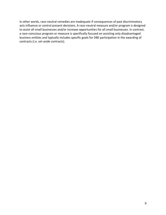In other words, race-neutral remedies are inadequate if consequences of past discriminatory acts influence or control present decisions. A race-neutral measure and/or program is designed to assist all small businesses and/or increase opportunities for all small businesses. In contrast, a race-conscious program or measure is specifically focused on assisting only disadvantaged business entities and typically includes specific goals for DBE participation in the awarding of contracts (i.e. set-aside contracts).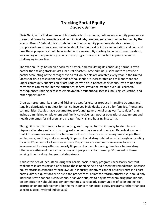## **Tracking Social Equity**

*Douglas A. Berman*

<span id="page-9-0"></span>Chris Nani, in the first sentence of his preface to this volume, defines social equity programs as those that "seek to remediate and help individuals, families, and communities harmed by the War on Drugs." Behind this crisp definition of social equity programs stands a series of complicated questions about just *who* should be the focal point for remediation and help and *how* these programs should be oriented and assessed. By starting to unpack these questions, we can begin to appreciate just why these programs are so important in principle and so challenging in practice.

The War on Drugs has been a societal disaster, and calculating its continuing harms is even harder than taking stock amidst a natural disaster. Some criminal justice metrics provide a partial accounting of the carnage: over a million people are arrested every year in the United States for drug possession; hundreds of thousands are incarcerated and millions more are under community supervision or are saddled with drug-related convictions. Even minor drug convictions can create lifetime difficulties; federal law alone creates over 500 collateral consequences limiting access to employment, occupational licenses, housing, education, and other opportunities.

Drug war programs like stop-and-frisk and asset forfeitures produce intangible traumas and tangible deprivations not just for justice-involved individuals, but also for families, friends and communities. Studies have documented profound, generational drug war "casualties" that include diminished employment and family cohesiveness, poorer educational attainment and health outcomes for children, and greater financial and housing insecurity.

Though it is hard to measure fully the drug war's myriad harms, it is easy to identify who disproportionately suffers from drug enforcement policies and practices. Reports document that African-Americans are four times more likely to be arrested on marijuana charges than white peers, and they make up nearly 30 percent of all drug-related arrests though accounting for only 12 percent of all substance users. Disparities are even more severe as to who is incarcerated for drug offenses: nearly 80 percent of people serving time for a federal drug offense are African-American or Latino, and people of color make up 60 percent of those serving time for drug charges in state prisons.

Amidst this sea of inequitable drug war harms, social equity programs necessarily confront challenges in assessing and prioritizing those needing help and deserving remediation. Because equity efforts in cannabis reform laws or in industry initiatives cannot possibly redress all past harms, difficult questions arise as to the proper focal points for reform efforts: e.g., should only individuals with cannabis convictions, or anyone subject to any harms from drug prohibitions, be beneficiaries? Should broader communities, particularly communities of color subject to disproportionate enforcement, be the main concern for social equity programs rather than just specific justice-involved individuals?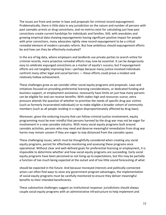The issues are front and center in laws and proposals for criminal record expungement. Problematically, there is little data in any jurisdiction on the nature and number of persons with past cannabis arrests or drug convictions, and no metrics exist for calculating just how past convictions create current hardships for individuals and families. Still, with anecdotes and growing empirical data showing expungements having significant positive impact for people with prior convictions, many advocates rightly view record expungement to be a critical remedial element of modern cannabis reform. But how ambitious should expungement efforts be and how can they be effectively evaluated?

In the era of big data, where employers and landlords use private parties to search online for criminal records, more proactive remedial efforts may now be essential. It can be dangerously easy to celebrate expunged convictions as a marker of equity's success; but if expungement efforts are not tangibly improving lives—perhaps because many justice-involved individuals confront many other legal and social barriers — these efforts could prove a modest and relatively hollow achievement.

These challenges grow as we consider other social equity programs and proposals. Laws and initiatives focused on providing preferential licensing considerations, or dedicated funding and business support, or employment assistance, necessarily have limits on just how many persons can be eligible for and can receive benefits. With stakes high and resources scarce, extra pressure attends the question of whether to prioritize the needs of specific drug war victims (such as formerly incarcerated individuals) or to make eligible a broader cohort of community members (such as all people residing in a region disproportionately affected by drug laws).

Moreover, given the enduring trauma that can follow criminal-justice involvement, equity programming must be ever mindful that persons harmed by the drug war may not be eager for involvement in a new cannabis industry. With many social equity programs built around cannabis activities, persons who may need and deserve meaningful remediation from drug war harms may remain unseen if they are eager to stay distanced from the cannabis space.

These challenging issues, which must be thoughtfully considered when creating any social equity programs, persist for effectively monitoring and assessing these programs once operational. Without clear and well-defined goals for preferential licensing or employment, it is impossible to determine whether and how social equity programs are succeeding. Early social equity programs have been perceived as not living up to expectations, but this may be partially a function of too much being expected at the outset and of too little sound forecasting of what

should be expected in the future. And because moneyed interests and politically connected actors can often find ways to seize any government program advantages, the implementation of social equity programs must be carefully monitored to ensure they deliver meaningful benefits to their intended beneficiaries.

These substantive challenges suggest an institutional response: jurisdictions should always couple social equity programs with an administrative infrastructure to help implement and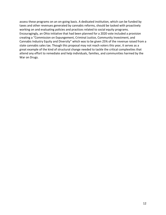assess these programs on an on-going basis. A dedicated institution, which can be funded by taxes and other revenues generated by cannabis reforms, should be tasked with proactively working on and evaluating policies and practices related to social equity programs. Encouragingly, an Ohio initiative that had been planned for a 2020 vote included a provision creating a "Commission on Expungement, Criminal Justice, Community Investment, and Cannabis Industry Equity and Diversity" which was to be given 25% of the revenue raised from a state cannabis sales tax. Though this proposal may not reach voters this year, it serves as a great example of the kind of structural change needed to tackle the critical complexities that attend any effort to remediate and help individuals, families, and communities harmed by the War on Drugs.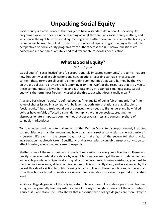# **Unpacking Social Equity**

<span id="page-12-0"></span>Social equity is a novel concept that has yet to have a standard definition. As social equity programs evolve, so does our understanding of what they are, why social equity matters, and why now is the right time for social equity programs. Furthermore, in this chapter the history of cannabis will be used to help illustrate the basis of social equity programs along with multiple perspectives on social equity programs from authors across the U.S. Below, questions are bolded and author names are italicized to differentiate responses per question.

## **What Is Social Equity?**

#### *Cedric Haynes*

<span id="page-12-1"></span>'Social equity', 'social justice', and 'disproportionately impacted community' are terms that are now frequently used in publications and conversations regarding cannabis. In a broader context, these terms are all used to either define communities that were harmed by the 'War on Drugs', policies to provide relief stemming from the 'War', or the resources that are given to these communities to lower barriers and facilitate entry into cannabis marketplaces. 'Social equity' is the term most frequently used of the three, but what does it really mean?

At a very basic level, 'equity' is defined both as "the quality of being fair or impartial" or "the value of shares issued in a company". I believe that both interpretations are applicable to "social equity", but to truly round out the concept, one needs to first understand how failed policies have unfairly affected distinct demographics within our society, creating the disproportionately impacted communities that deserve fairness and ownership-share of cannabis marketplaces.

To truly understand the potential impacts of the 'War on Drugs' to disproportionately impacted communities, we must first understand how a cannabis arrest or conviction can erect barriers in a person's life even in the present-day, not to make light of the severe toll that physical incarceration has already taken. Specifically, and as examples, a cannabis arrest or conviction can affect housing, education, and career prospects.

Shelter is one of the most basic and important necessities for everyone's livelihood. Those who qualify to receive federal assistance by way of housing are amongst the most underserved and vulnerable populations. Specifically, to qualify for federal rental housing assistance, you must be classified as low-income, elderly, or disabled. As policies currently stand, and as evidenced by the recent threats of eviction to public housing tenants in Illinois, these populations can be evicted from their homes based on medical or recreational cannabis use- even if legalized at the state level.

While a college degree is not the only indicator to how successful or stable a person will become, a degree has generally been regarded as one of the keys (though certainly not the only route) to a successful and stable life. Data shows that individuals with college degrees are more likely to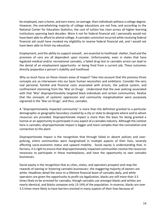be employed, own a home, and earn more, on average, than individuals without a college degree. However, the overwhelming majority of college educations are not free, and according to the National Center for Education Statistics, the cost of tuition has risen across all higher-learning institutions spanning back decades. Were it not for federal financial aid, I personally would not have been able to afford to attend college. A cannabis conviction incurred while receiving federal financial aid could have revoked my eligibility to receive federal financial aid, and I would not have been able to finish my education.

Employment, and the ability to support oneself, are essential to livelihood- shelter, food and the provision of care are all dependent upon income. Unfortunately, even in states that have legalized medical and/or recreational cannabis, a failed drug test or cannabis arrest can lead to the denial of an employment opportunity- or being fired from a current job. These outcomes directly jeopardize a person's stability and livelihood.

Why so much focus on these chosen areas of impact? Take into account that the previous three concepts are so interwoven into our basic human necessities and ambitions. Consider the very real personal, familial and financial costs associated with arrests, the judicial system, and confinement stemming from the 'War on Drugs'. Understand that the over policing associated with that 'War' disproportionately targeted black individuals and certain communities. Realize that the concepts of systemic oppression and community marginalization were purposely ingrained in the 'War on Drugs', and thus, cannabis.

A "disproportionately impacted community" is more than the definition granted to a particular demographic or geographic boundary created by a city or state to designate where and to whom resources are provided. Disproportionate impact is more than the basis for being granted a license or an opportunity to participate in any aspect of a cannabis industry. Although the context here is cannabis, disproportionate impact is bigger and more complex than the connotation and connection to the plant.

Disproportionate impact is the recognition that through failed or absent policies and overpolicing, entire communities were marginalized in multiple aspects of their lives, severely affecting socio-economic status and upward mobility . Social equity is understanding that, in fairness, it is right to ensure that disproportionately impacted communities receive the resources necessary to participate in these marketplaces, and have the opportunity to own cannabis businesses.

Social equity is the recognition that as cities, states, and operators prospect and reap the rewards of owning or fostering cannabis businesses– the staggering majority of owners are white. Headlines detail the once-in-a-lifetime financial boon of cannabis daily, and while operators are given the opportunity to profit via legalization, blacks are still more than 3.5 times likely to be arrested for cannabis, though cannabis use amongst blacks and whites are nearly identical, and blacks compose only 13-14% of the population. In essence, blacks are over 3.5 times more likely to have barriers erected in many aspects of their lives because of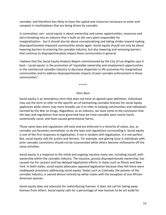cannabis, and therefore less likely to have the capital and resources necessary to enter and compete in marketplaces that are being driven by cannabis.

In summation, yes– social equity is about ownership and career opportunities, resources and aid in breaking into an industry that is built on the very plant responsible for marginalization– but it should also be about conceptualizing and taking strides toward making disproportionately impacted communities whole again. Social equity should not only be about lowering barriers to entering the cannabis industry, but also lowering and removing barriers that continue to disproportionately impact these communities in general.

I believe that the Social Equity Analysis Report commissioned by the City of Los Angeles says it best– 'social equity' is the promotion of "equitable ownership and employment opportunities in the commercial cannabis industry to decrease disparities in life outcomes for marginalized communities and to address disproportionate impacts of past cannabis enforcement in those communities".

\*\*\*\*\*

#### *Chris Nani*

Social equity is an amorphous term that does not have an agreed upon definition. Individuals may use the term to refer to the specific act of earmarking cannabis licenses for social equity applicants while others may more broadly use it to refer to helping communities and individuals harmed by the War on Drugs. Regardless, as an industry, we have come to the conclusion that the laws and regulations that once governed how we treat cannabis were overly harsh, systemically racist, and have caused generational harms.

Those same laws and regulations still exist and are enforced in a minority of states, but, as cannabis use becomes normalized, so do the laws and regulations surrounding it. Social equity is one of the first responses to legalization, if not in tandem with legalization. It is not perfect. But, social equity calls for justice and fairness. For example, one glaring issue is individuals with prior cannabis convictions should not be incarcerated while others become millionaires off the same activities.

Social equity is a response to the initial and ongoing injustice many see, including myself, with ownership within the cannabis industry. The injustice, grossly disproportionate ownership, has caused rise for concern and has delayed legalization efforts in states such as Illinois and New York. In both states, social equity advocates opposed legalization because they felt there were inadequate provisions addressing social equity. States such as Colorado, the pioneer of the cannabis industry, is owned almost entirely by white males with the exception of one African-American woman.

Social equity does not advocate for redistributing licenses. It does not call for taking away licenses from others. Social equity calls for a percentage of new licenses to be set aside for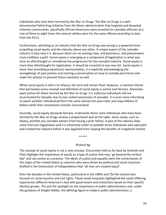individuals who have been harmed by the War on Drugs. The War on Drugs is a welldocumented failed drug initiative from the Nixon administration that targeted and devasted minority communities, specifically African-Americans were arrested for cannabis offenses at a rate of three to eight times the amount whites were for the same offense according to data from the ACLU.

Furthermore, admitting as an industry that the War on Drugs was wrong is a powerful force propelling social equity and the industry above any other. A unique aspect of the cannabis industry is how new it is. Because there are no existing rules, entrepreneurs, and policymakers must trailblaze a path. Social equity is emerging as a component of legalization in what was once an afterthought or considered too progressive for the cannabis industry. Social equity is more than afterthought for legalization, it should be essential to any new Act. Social equity is more than providing proportional representation, it is explicitly acknowledging the wrongdoings of past policies and starting a conversation on how to remedy past harms and make fair policies to prevent future injustices as well.

While social equity is still in its infancy, the term will remain fluid. However, a common theme that permeates every concept and definition of social equity is justice and fairness. Advocates want justice for those harmed by the War on Drugs. It is ludicrous individuals still are incarcerated for decades due to non-violent possession of cannabis. It is even more infuriating to watch another individual perform the same activity ten years later and reap millions of dollars while their counterpart remains incarcerated.

Secondly, social equity demands fairness. It demands those same individuals who have been harmed by the War on Drugs receive a proportional seat at the table. Some states, such as Alaska, prohibit any cannabis owners from having a prior felony. A part of the industry does come from pre-legalization and it is inherently unfair to prohibit those individuals who operated and created the industry before it was legalized from reaping the benefits of a legalized market.

#### \*\*\*\*\*

#### *Richard Ng*

The concept of social equity is not a new concept. Discussions held as far back by Aristotle and Plato highlight the importance of equity as a type of justice that may "go beyond the written law" and can evolve as a practice. The ideals of justice and equality were the cornerstones of the origin of the United States as colonists who were driven by political and social injustices drafted in the Declaration of Independence that "all men are created equal".

Over the decades in the United States, particularly in the 1960s and 70s the context was focused on racial injustice and civil rights. These social inequities highlighted the vastly differing experiences different American's had with government and institutions based on their specific identity groups. This put the spotlight on the importance of public administrators and, under the guidance of Dwight Waldo, the defining figure in modern public administration, a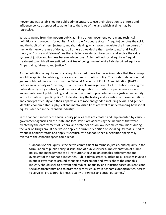movement was established for public administrators to use their discretion to enforce and influence policy as opposed to adhering to the laws of the land which at time may be regressive.

What spawned from the modern public administration movement were many technical definitions and concepts for equity. Black's Law Dictionary states, "[equity] denotes the spirit and the habit of fairness, justness, and right dealing which would regulate the intercourse of men with men – the rule of doing to all others as we desire them to do to us." and Rawl's theory of "justice and fairness". As these definitions started to expand and evolve the value system of justice and fairness became ubiquitous. Adler defined social equity as "equal treatment to which all are entitled by virtue of being human" while Falk described equity as "impartiality, fairness, and justice."

As the definition of equity and social equity started to evolve it was inevitable that the concept would be applied to public rights, access, and redistribution policy. The modern definition that guides public administrators from the National Academy of Public Administration (NAPA) defines social equity as "The fair, just and equitable management of all institutions serving the public directly or by contract, and the fair and equitable distribution of public services, and implementation of public policy, and the commitment to promote fairness, justice, and equity in the formation of public policy". Understanding the history and evolution of these definitions and concepts of equity and their applications to race and gender, including sexual and gender identity, economic status, physical and mental disabilities are vital to understanding how social equity is defined in the cannabis industry.

In the cannabis industry the social equity policies that are created and implemented by various government agencies on the State and local levels are addressing the inequities that were created by the enforcement of Federal and State policies on low income communities during the War on Drugs era. If one was to apply the current definition of social equity that is used to by public administrators and apply it specifically to cannabis then a definition specifically related to the cannabis space could read:

"Cannabis Social Equity is the active commitment to fairness, justice, and equality in the formulation of public policy, distribution of public services, implementation of public policy, and management of all institutions focusing on cannabis enforcement and oversight of the cannabis industries. Public administrators, including all persons involved in public governance around cannabis enforcement and oversight of the cannabis industry should seek to prevent and reduce inequality and injustice based on significant social characteristics and to promote greater equality in economic opportunities, access to services, procedural fairness, quality of services and social outcomes."

\*\*\*\*\*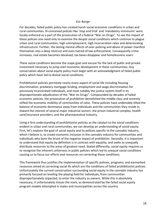#### *Eric Range*

For decades, failed public policy has created harsh social economic conditions in urban and rural communities. Ill-conceived policies like 'stop and frisk' and 'mandatory minimums' were locally enforced as a part of the prosecution of a federal "War on Drugs". To see the impact of these policies one need only to examine the despot social conditions which continue to plague urban and rural communities: high unemployment, high incarceration rates and deteriorating infrastructure. Further, the lasting mental effects of over-policing and abuse of power manifest themselves into a deep mistrust and even hatred of law enforcement. Consequently crime increases, real estate becomes devalued, tax bases disappear and homelessness soars.

These social conditions become the scape goat and excuse for the lack of public and private investment necessary to jump-start economic development in these communities. Any conversation about social equity policy must begin with an acknowledgment of failed public policy which have led to dismal social conditions.

Prohibitionist policies permeate nearly every aspect of social life including housing discrimination, predatory mortgage lending, employment and wage discrimination for previously incarcerated individuals, and most notably the justice system itself in its disproportionate adjudication of the "War on Drugs". Compounded by decades of failed economic policies, the prosecution of prohibition demolished the middle class and severely stifled the economic mobility of communities of color. These policies have undeniably tilted the balance of economic dominance away from individuals and the communities they reside in, toward the interest of several major industrial sectors: the prison industrial complex, health care/insurance providers, and the pharmaceutical industry.

Using a firm understanding of prohibitionist policies as the catalyst to the social conditions evident in urban and rural communities, we can develop an understanding of social equity. First, let's explore the goal of social equity and its policies specific to the cannabis industry, which I believe is, to create economic inclusion in the cannabis industry for communities and individuals who bore the brunt of the negative impact of prohibition. Secondly, it is important to understand that equity by definition is in contrast with equality, and seeks to unequally distribute resources to the areas of greatest need. Stated differently, social equity requires us to recognize the inherent unfairness in public policies which led to unequal social conditions causing us to focus our efforts and resources on correcting those conditions.

This framework thus justifies the implementation of specific policies, programs, and earmarked resources aimed at correcting social ills which are the conditions of failed prohibitionist policies. Unfortunately the current conversation surrounding social equity in the cannabis industry has primarily focused on leveling the playing field for individuals, from communities disproportionately impacted, to enter the industry as owners. While this is absolutely necessary, it unfortunately misses the mark, as demonstrated by the failed social equity program models attempted in states and municipalities across the country.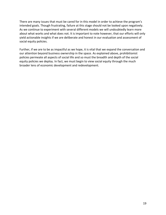There are many issues that must be cared for in this model in order to achieve the program's intended goals. Though frustrating, failure at this stage should not be looked upon negatively. As we continue to experiment with several different models we will undoubtedly learn more about what works and what does not. It is important to note however, that our efforts will only yield actionable insights if we are deliberate and honest in our evaluation and assessment of social equity policies.

Further, if we are to be as impactful as we hope, it is vital that we expand the conversation and our attention beyond business ownership in the space. As explained above, prohibitionist policies permeate all aspects of social life and so must the breadth and depth of the social equity policies we deploy. In fact, we must begin to view social equity through the much broader lens of economic development and redevelopment.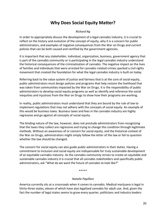## **Why Does Social Equity Matter?**

#### *Richard Ng*

<span id="page-19-0"></span>In order to appropriately discuss the development of a legal cannabis industry, it is crucial to reflect on the history and evolution of the concept of equity, why it is a concern for public administrators, and examples of negative consequences from the War on Drugs and current policies that can be both caused and rectified by the government agencies.

It is important that any stakeholder, individual, organization, business, government agency that is part of the cannabis community or is participating in the legal cannabis industry understand the historical consequences of the criminalization of cannabis. The negative impact on the lives of families and individuals that were arrested for cannabis-related crimes sparked a civil rights movement that created the foundation for what the legal cannabis industry is built on today.

Referring back to the value system of justice and fairness that is at the core of social equity, public administrators must design policies and programs that help restore the livelihood that was taken from communities impacted by the War on Drugs. It is the responsibility of public administrators to develop social equity programs as well as identify and reference the social inequities and injustices from the War on Drugs to show how their programs are working.

In reality, public administrators must understand that they are bound by the rule of law to implement regulations that may not adhere with the concepts of social equity. An example of this would be business taxes. Business taxes and fees in the cannabis industry are highly regressive and go against all concepts of social equity.

The binding nature of the law, however, does not preclude administrators from recognizing that the taxes they collect are regressive and trying to change this condition through legitimate methods. Without an awareness of or concern for social equity, and the historical context of the War on Drugs, administrators might simply follow the letter of the law or fail to question whether the law should be changed.

The concern for social equity can also guide public administrators in their duties. Having a commitment to inclusion and social equity are indispensable for truly sustainable development of an equitable cannabis industry. As the cannabis community strives to create an equitable and sustainable cannabis industry it is crucial that all cannabis stakeholders and specifically public administrators, ask "What do we want the future of cannabis to look like?"

#### \*\*\*\*\*

#### *Natalie Papillion*

America currently sits at a crossroads when it comes to cannabis. Medical marijuana is legal in thirty-three states, eleven of which have also legalized cannabis for adult-use. And, given the fact the number of legal states seems to grow every quarter, politicians and industry leaders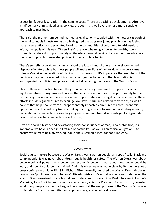expect full federal legalization in the coming years. These are exciting developments. After over a half-century of misguided drug policies, the country is well overdue for a more sensible approach to marijuana.

That said, the momentum behind marijuana legalization—coupled with the meteoric growth of the legal cannabis industry—has also highlighted the ways marijuana prohibition has fueled mass incarceration and devastated low-income communities of color. And to add insult to injury, the spoils of this new "Green Rush" are overwhelmingly flowing to wealthy, wellconnected and/or disproportionately white interests—and leaving the communities who bore the brunt of prohibition-related policing in the first place behind.

There's something so viscerally unjust about the fact a handful of wealthy, well-connected, disproportionately white business people will make millions of dollars doing the **very same thing** we've jailed generations of black and brown men for. It's imperative that members of the public—alongside our elected officials—come together to demand that legalization is accompanied by policies and programs aimed at repairing the harms of the War on Drugs.

This confluence of factors has laid the groundwork for a groundswell of support for social equity initiatives—programs and policies that ensure communities disproportionately harmed by the drug war are able to access economic opportunities in the legal cannabis industry. These efforts include legal measures to expunge low -level marijuana-related convictions, as well as policies that help people from disproportionately impacted communities access economic opportunities in the industry (most social equity programs are focused on facilitating minority ownership of cannabis businesses by giving entrepreneurs from disadvantaged backgrounds prioritized access to cannabis business licenses).

Given the sordid history and devastating social consequences of marijuana prohibition, it's imperative we have a once-in-a-lifetime opportunity —as well as an ethical obligation— to ensure we're creating a diverse, equitable and sustainable legal cannabis industry.

#### \*\*\*\*\*

#### *Akele Parnell*

Social equity matters because the War on Drugs was a war on people, and specifically, Black and Latinx people. It was never about drugs, public health, or safety. The War on Drugs was about power– political power, racial power, and economic power. It was about how power could be won, and how it could be maintained. And, this objective was made clear by its founders. At a press conference on June 18, 1971, Richard Nixon formally launched the War on Drugs, declaring drug abuse "public enemy number one". His administration's actual motivations for declaring the War on Drugs remained ostensibly hidden for decades. However, in a 1994 interview in Harper's Magazine, John Ehrlichman, former domestic policy chief for President Richard Nixon, revealed what many people of color had argued decades– that the real purpose of the War on Drugs was to destabilize Black communities and suppress progressive political power: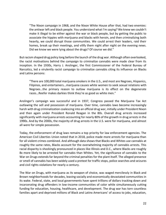"The Nixon campaign in 1968, and the Nixon White House after that, had two enemies: the antiwar left and black people. You understand what I'm saying? We knew we couldn't make it illegal to be either against the war or black people, but by getting the public to associate the hippies with marijuana and blacks with heroin, and then criminalizing both heavily, we could disrupt those communities. We could arrest their leaders, raid their homes, break up their meetings, and vilify them night after night on the evening news. Did we know we were lying about the drugs? Of course we did."

But racism shaped drug policy long before the launch of the drug war. Although often overlooked, the racist motivations behind the campaign to criminalize cannabis were made clear from its inception. In the 1930s, Harry J. Anslinger, the first Commissioner of the Federal Bureau of Narcotics, led a virulently racist campaign to criminalize cannabis citing its influence on Blacks and Latinx persons:

"There are 100,000 total marijuana smokers in the U.S., and most are Negroes, Hispanics, Filipinos, and entertainers...marijuana causes white women to seek sexual relations with Negroes…the primary reason to outlaw marijuana is its effect on the degenerate races…Reefer makes darkies think they're as good as white men."

Anslinger's campaign was successful and in 1937, Congress passed the Marijuana Tax Act outlawing the sell and possession of marijuana. Over time, cannabis laws become increasingly harsh with drug criminalization coalescing into an official drug war, initially under President Nixon and then again under President Ronald Reagan in the 80s. Overall drug arrests increased significantly with marijuana arrests accounting for nearly 80% of the growth in drug arrests in the 1990s. And by the 2000s, the majority of drug arrests in the U.S. were for marijuana, and almost all were for simple possession.

Today, the enforcement of drug laws remains a top priority for law enforcement agencies. The American Civil Liberties Union noted that in 2018, police made more arrests for marijuana than for all violent crimes combined. And although data shows that Blacks and Whites use cannabis at roughly the same rates, Blacks account for the overwhelming majority of cannabis arrests. This racial disparity is shockingly pronounced in places like Illinois and D.C., where Blacks are roughly 8x more likely to be arrested for cannabis than Whites. Yet, the significance of cannabis to the War on Drugs extends far beyond the criminal penalties for the plant itself. The alleged presence or smell of cannabis has been widely used a pretext for traffic stops, police searches and seizures and civil rights violations for nearly a century.

The War on Drugs, with marijuana as its weapon of choice, was waged mercilessly in Black and Brown neighborhoods for decades, leaving socially and economically devastated communities in its wake. Federal, state, and local governments have spent trillions of dollars tracking down and incarcerating drug offenders in low-income communities of color while simultaneously cutting funding for education, housing, healthcare, and development. The drug war has torn countless families apart and deprived millions of Black and Latinx Americans' of access to jobs, education,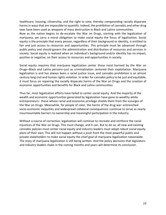healthcare, housing, citizenship, and the right to vote, thereby compounding racially disparate harms in ways that are impossible to quantify. Indeed, the prohibition of cannabis and other drug laws have been used as weapons of mass destruction in Black and Latinx communities.

Now as the nation begins to de-escalate the War on Drugs, starting with the legalization of marijuana, we carry a moral obligation to make social equity the focus of legalization. Social equity is the principle that every person, regardless of their background or identity, is entitled to fair and just access to resources and opportunities. This principle must be advanced through public policy and should govern the administration and distribution of resources and services in society. Social equity is realized when an individual's background and/or identity has no impact, positive or negative, on their access to resources and opportunities in society.

Social equity requires that marijuana legalization center those most harmed by the War on Drugs-Black and Latinx persons-just as criminalization centered their exploitation. Marijuana legalization is and has always been a racial justice issue, and cannabis prohibition is an almost century long civil and human rights violation. In order for cannabis policy to be just and equitable, it must focus on repairing the racially disparate harms of the War on Drugs and the creation of economic opportunities and benefits for Black and Latinx communities.

Thus far, most legalization efforts have failed to center social equity. And the majority of the wealth and economic opportunities generated by legalization have gone to wealthy white entrepreneurs— those whose racial and economic privilege shields them from the scourges of the War on Drugs. Meanwhile, for people of color, the harms of the drug war-entrenched socio-economic inequities and widespread collateral consequences–continue to serve as nearly insurmountable barriers to ownership and meaningful participation in the industry.

Without a course of correction, legalization will continue to recreate and reinforce the racial injustices of the War on Drugs. This must change, and it can. But to do so, all new and existing cannabis policies must center racial equity and industry leaders must adopt robust social equity plans of their own. This will not happen without a push from the most powerful public and private stakeholders to make social equity the chief goal of marijuana legalization nationwide. The story of marijuana legalization is still being written. And the policy decisions that legislators and industry leaders make in the coming months and years will determine its conclusion.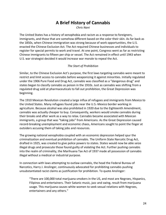## **A Brief History of Cannabis**

*Chris Nani*

<span id="page-23-0"></span>The United States has a history of xenophobia and racism as a response to foreigners, immigrants, and those that are somehow different based on the color their skin. As far back as the 1850s, when Chinese immigration was strong because of work opportunities, the U.S. enacted the Chinese Exclusion Act. The Act required Chinese businesses and individuals to register for special permits to work and travel. At one point, Congress went as far as restricting Chinese immigrants to fifteen per ship or vessel. The Act remained in effect until 1943 when U.S. war strategist decided it would increase war morale to repeal the Act.

#### *The Start of Prohibition*

Similar, to the Chinese Exclusion Act's purpose, the first laws targeting cannabis were meant to restrict and limit access to cannabis before weaponizing it against minorities. Initially regulated under the 1906 Pure Food and Drug Act, cannabis was classified as a "dangerous drug" and states began to classify cannabis as poison in the 1910s. Just as cannabis was shifting from a regulated drug sold at pharmaceuticals to fall out prohibition, the Great Depression was beginning.

The 1910 Mexican Revolution created a large influx of refugees and immigrants from Mexico to the United States. Many refugees found jobs near the U.S.-Mexico border working in agriculture. Because alcohol was also prohibited in 1920 due to the Eighteenth Amendment, cannabis was actually cheaper to buy. Consequently, workers would smoke cannabis during their breaks and after work as a way to relax. Cannabis became associated with Mexican immigrants, a group that was "taking jobs" from Americans. As the Great Depression caused record-breaking unemployment and economic chaos, Americans sought to point the finger at outsiders accusing them of taking jobs and resources.

The growing national xenophobia coupled with an economic depression helped spur the criminalization and eventual prohibition of cannabis. The Uniform State Narcotic Drug Act, drafted in 1925, was created to give police powers to states. States would now be able seize illegal drugs and prosecute those found guilty of violating the Act. Further pushing cannabis into the realm of criminality, the Marihuana Tax Act of 1937 made all possession of cannabis illegal without a medical or industrial purpose.

In connection with laws attempting to outlaw cannabis, the head the Federal Bureau of Narcotics, Harry J. Anslinger, continuously advocated for prohibiting cannabis pushing unsubstantiated racist claims as justification for prohibition. To quote Anslinger:

"There are 100,000 total marijuana smokers in the US, and most are Negroes, Hispanics, Filipinos and entertainers. Their Satanic music, jazz and swing, result from marijuana usage. This marijuana causes white women to seek sexual relations with Negroes, entertainers and any others."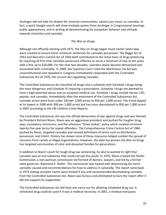Anslinger did not hide his disdain for minority communities, satanic jazz music, or cannabis. In fact, a quick Google search will show multiple quotes from Anslinger in Congressional hearings, public appearances, and in writing all demonstrating his outspoken behavior and attitude towards minorities and cannabis.

#### *The War on Drugs*

Although not officially starting until 1971, the War on Drugs began much earlier when laws were created to ensure harsh minimum sentences for cannabis possession. The Boggs Act of 1952 and Narcotics Control Act of 1956 both contributed to the initial basis of drug sentencing by requiring all first time cannabis possession offenses to serve a minimum of two to ten years with a fine up to \$20,000. For the next two decades, cannabis slowly became demonized and associated with criminality. In 1969, the Supreme Court ruled the Marihuana Tax Act was unconstitutional and repealed it. Congress immediately responded with the Controlled Substances Act of 1970, the current Act regulating cannabis.

The Controlled Substances Act classified all drugs into a schedule with Schedule I drugs being the most dangerous and Schedule IV requiring a prescription. Schedule I drugs are deemed to have a high potential abuse and no accepted medical use. Schedule I drugs include heroin, LSD, peyote, and cannabis. Immediately after the enactment of the Controlled Substances Act, cannabis arrest went from under 100 per 1,000 arrest to 450 per 1,000 arrest. The trend dipped at its lowest in 1990 with 300 per 1,000 arrest but has since skyrocketed to 850 per 1,000 arrest in 2007 according to the FBI Uniform Crime Reports.

The Controlled Substances Act was the official declaration of war against drugs and was helmed by President Richard Nixon. Nixon was an aggressive president and pushed for tougher drug laws, mandatory minimums, and the infamous "three strikes" policy which created minimum twenty-five year terms for repeat offenders. The Comprehensive Crime Control Act of 1984, pushed by Nixon, targeted cannabis and revised definitions of terms such as distribution, possession, and intent. History has shown none of these measures helped combat the spread of narcotics from cartels or illegal organizations. However, the data has proven the War on Drugs has targeted communities of color and devasted families for generations.

In addition to Nixon's push for tough drug law sentencing, he also to wanted to right that cannabis was an evil substance that could corrupt the youth. In 1970, Nixon created the Shafer Commission, a non-partisan commission led formed of doctors, lawyers, and led by a former state governor, Raymond P. Shafer. The commission was tasked with determining the harm cannabis caused and recommendations for how to address it nationally. The report came back in 1972 stating cannabis harms were limited if any and recommended descheduling cannabis from the Controlled Substances Act. Nixon was furious and attempted to bury the report after it did not support his supposition.

The Controlled Substances Act did have one carve out for allowing scheduled drug use. A scheduled drug could be used if it was a medical necessity. In 2001, a medical marijuana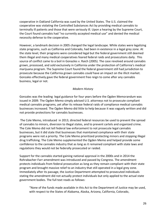cooperative in Oakland California was sued by the United States. The U.S. claimed the cooperative was violating the Controlled Substances Act by providing medical cannabis to terminally ill patients and those that were seriously ill. Upon a hearing by the Supreme Court, the Court found cannabis had "no currently accepted medical use" and denied the medical necessity defense to the cooperative.

However, a landmark decision in 2005 changed the legal landscape. While states were legalizing state programs, such as California and Colorado, had been in existence in a legal grey zone. At the state level, their programs were considered legal but the federal government still deemed them illegal and many medical cooperatives feared federal raids and prosecutions daily. This source of conflict came to a boil in Gonazles v. Raich (2005). The case revolved around cannabis grown, processed, and sold exclusively in California under the protection of California's medical marijuana program. The Supreme Court found the federal government still had jurisdiction to prosecute because the California grown cannabis *could* have an impact on the illicit market. Gonzales effectively gave the federal government free reign to come after any cannabis business, legal or not.

#### *Modern History*

Gonzales was the leading legal guidance for four years before the Ogden Memorandum was issued in 2009. The Ogden Memo simply advised U.S. attorneys not to prosecute compliant medical cannabis programs, yet after its release federal raids of compliance medical cannabis businesses increased. The Ogden Memo did little to help because it was vaguely written and did not provide protections for cannabis businesses.

The Cole Memo, introduced in 2013, directed federal resources be used to prevent the spread of cannabis to minors, diversion to illegal states, and to prevent cartels and organized crime. The Cole Memo did not tell federal law enforcement to not prosecute legal cannabis businesses, but it did state that businesses that maintained compliance with their state programs were not a priority. The Cole Memo prioritized protecting minors and stopping illegal drug trafficking. The Cole Memo supplemented the Ogden Memo and helped provide some confidence to the cannabis industry that as long as it remained compliant with state laws and regulations they would not be federally prosecuted or raided.

Support for the cannabis started gaining national approval in the 2000s and in 2014 the Rohrabacher-Farr amendment was introduced and passed by Congress. The amendment protects individuals from federal prosecution as long as they remain compliant with their state program and brought massive relief to an industry that still operated in a legal grey zone. Immediately after its passage, the Justice Department attempted to prosecuted individuals stating the amendment did not actually protect individuals but only applied to the actual state government bodies. The full text reads as follows:

"None of the funds made available in this Act to the Department of Justice may be used, with respect to the States of Alabama, Alaska, Arizona, California, Colorado,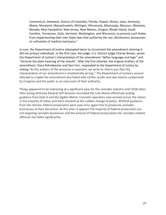Connecticut, Delaware, District of Columbia, Florida, Hawaii, Illinois, Iowa, Kentucky, Maine, Maryland, Massachusetts, Michigan, Minnesota, Mississippi, Missouri, Montana, Nevada, New Hampshire, New Jersey, New Mexico, Oregon, Rhode Island, South Carolina, Tennessee, Utah, Vermont, Washington, and Wisconsin, to prevent such States from implementing their own State laws that authorize the use, distribution, possession, or cultivation of medical marijuana."

In sum, the Department of Justice attempted twice to circumvent the amendment claiming it did not protect individuals. In the first case, the judge, U.S. District Judge Charles Breyer, wrote the Department of Justice's interpretation of the amendment "defies language and logic" and "tortures the plain meaning of the statute". After the first attempt, the original drafters of the amendment, Dana Rohrabacher and Sam Farr, responded to the Department of Justice by stating "As the authors of the provision in question, we write to inform you that this interpretation of our amendment is emphatically wrong." The Department of Justice's second attempt to cripple the amendment also failed with similar results and was heavily condemned by Congress and the public as an overreach of their authority.

Things appeared to be improving at a significant pace for the cannabis industry until 2018 when then-acting Attorney General Jeff Sessions rescinded the Cole Memo effectively ending guidance from both it and the Ogden Memo. Cannabis operators now worked across the nation in the majority of states and were shocked at the sudden change of policy. Without guidance from the memos, federal prosecutors were now once again free to prosecute cannabis businesses at their discretion. At this time, it appears the majority of federal prosecutors are not targeting cannabis businesses and the amount of federal prosecutions for cannabis-related offenses has fallen significantly.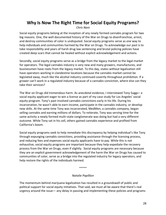## <span id="page-27-0"></span>**Why Is Now The Right Time for Social Equity Programs?**

*Chris Nani*

Social equity programs belong at the inception of any newly formed cannabis program for two big reasons. One, the well documented history of the War on Drugs to disenfranchise, arrest, and destroy communities of color is undisputed. Social equity programs serve as *one* way to help individuals and communities harmed by the War on Drugs. To acknowledge our past is to take responsibility and years of harsh drug law sentencing and brutal policing policies have created deep scars that cannot be healed without explicit acknowledgement and actions.

Secondly, social equity programs serve as a bridge from the legacy market to the legal market for operators. The legal cannabis industry is very new and many growers, manufactures, and businessmen have roots from the legacy market. To this day, states without legalization still have operators working in clandestine locations because the cannabis market cannot be legislated away, much like the alcohol industry continued covertly throughout prohibition. If a grower can't work in a regulated industry because of a cannabis conviction, where else can they take their services?

The War on Drugs did tremendous harm. As anecdotal evidence, I interviewed Tony Suggs– a social equity applicant eager to win a license as part of my case study for Los Angeles' social equity program. Tony's past involved cannabis convictions early in his life. During his incarceration, he wasn't able to earn income, participate in the cannabis industry, or develop new skills. At the same time Tony was incarcerated, MedMen, a cannabis company, began selling cannabis and earning millions of dollars. To reiterate, Tony was serving time for the same activity a newly formed multi-state conglomerate was doing but had a very different outcome. While Tony sat in his cell, others gained cannabis experience and profited from California's boom.

Social equity programs seek to help remediate this discrepancy by helping individual's like Tony through expunging cannabis convictions, providing assistance through the licensing process, and reducing fees and expenses social equity applicants have to pay. While this is not exhaustive, social equity programs are important because they help expediate the recovery process from the War on Drugs, even if slightly. Social equity programs are necessary because they are an explicit government acknowledgement of the harm the War on Drugs has caused to communities of color, serve as a bridge into the regulated industry for legacy operators, and help restore the rights of the individuals harmed.

\*\*\*\*\*

#### *Natalie Papillion*

The momentum behind marijuana legalization has resulted in a groundswell of public and political support for social equity initiatives. That said, we must all be aware that there's real urgency around the issue— any delay in passing and implementing these policies and programs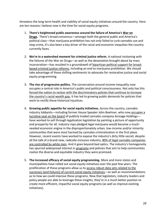threatens the long-term health and viability of social equity initiatives around the country. Here are ten reasons I believe now is the time for social equity programs.

- 1. **There's heightened public awareness around the failure of America's [War on](https://www.cato.org/publications/policy-analysis/four-decades-counting-continued-failure-war-drugs)  [Drugs.](https://www.cato.org/publications/policy-analysis/four-decades-counting-continued-failure-war-drugs)** There's broad consensus—amongst both the general public and America's political class—that marijuana prohibition has not only failed to curb cannabis use and stop crime, it's also been a key driver of the racial and economic inequities the country currently faces.
- 2. **We're in a watershed moment for criminal justice reform.** A national reckoning with the failures of the War on Drugs—as well as the devastation brought about by mass incarceration—has resulted in a groundswell of [bipartisan political support for broad](https://eji.org/news/bipartisan-support-criminal-justice-reform-still-strong/)[based criminal justice reforms,](https://eji.org/news/bipartisan-support-criminal-justice-reform-still-strong/) including an end to marijuana prohibition. We should take advantage of these shifting sentiments to advocate for restorative justice and social equity programming.
- 3. **The rise of progressive politics.** The conversation around income inequality now occupies a central role in America's public and political consciousness. Not only has this [forced the nation to reckon with the discriminatory policies that continue to increase](https://www.theatlantic.com/politics/archive/2019/01/new-litmus-test-2020-racial-wealth-gap/579823/)  [the country's racial wealth gap](https://www.theatlantic.com/politics/archive/2019/01/new-litmus-test-2020-racial-wealth-gap/579823/), it has led to growing public demands for policies that work to rectify these historical injustices.
- 4. **Growing public appetite for social equity initiatives.** Across the country, cannabis industry lobbyists—including former House Speaker John Boehner, who now [occupies a](https://www.bloomberg.com/news/articles/2019-04-18/ex-speaker-boehner-can-score-big-on-pot-deal-with-weed-legalized)  [lucrative seat on the board](https://www.bloomberg.com/news/articles/2019-04-18/ex-speaker-boehner-can-score-big-on-pot-deal-with-weed-legalized) of publicly traded cannabis company Acreage Holdings have worked to sell through legalization legislation by painting a picture of opportunity and prosperity for all. Industry reps pledged legal marijuana would become a muchneeded economic engine in the disproportionately urban, low-income and/or minority communities that were most harmed by cannabis criminalization in the first place. However, recent events have worked to expose the industry's dirty little secret; despite all the talk of a brand-new, radically-inclusive industry, 80% of legal cannabis companies [are controlled by white men.](https://mjbizdaily.com/chart-19-cannabis-businesses-owned-founded-racial-minorities/) And it goes beyond bad optics. The industry's homogeneity has spurred widespread interest in [programs](https://twitter.com/lollybowean/status/1195351945277403137) and policies that aim to help communities realize the diverse and equitable industry they were promised.
- 5. **The increased efficacy of social equity programming.** More and more states and municipalities have rolled out social equity initiatives over the past few years. The proliferation of these programs allow us to [access robust data sets related to the](https://mjbizdaily.com/chart-marijuana-social-equity-programs/)  [successes \(and failures\) of current social equity initiatives](https://mjbizdaily.com/chart-marijuana-social-equity-programs/)—as well as recommendations as to how we could improve these programs. Now that legislators, industry leaders and policy people are able to leverage these insights, they're in a much better position to create more efficient, impactful social equity programs (as well as improve existing initiatives).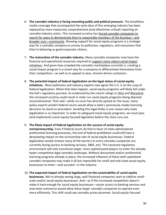- 6. **The cannabis industry is facing mounting public and political pressure.** The breathless media coverage that accompanied the early days of this emerging industry has been replaced by more measured, comprehensive (and oftentimes critical) reporting on cannabis industry antics. This increased scrutiny has [forced cannabis companies to](https://www.vice.com/en_us/article/pajbqy/cannabis-lobbying-in-washington-dc-isnt-working)  [search for ways to demonstrate they're responsible memb](https://www.vice.com/en_us/article/pajbqy/cannabis-lobbying-in-washington-dc-isnt-working)ers of the business—and [broader civic](https://www.vice.com/en_us/article/pajbqy/cannabis-lobbying-in-washington-dc-isnt-working)—community. Showing support for social equity programs is a strategic way for a cannabis company to convey to politicians, regulators, and consumers that they're behaving as good corporate citizens.
- 7. **The maturation of the cannabis industry.** Many cannabis companies now have the financial and operational resources required to [support more robust social impact](https://www.benzinga.com/markets/cannabis/20/02/15413562/social-equity-in-cannabis-this-is-the-way-that-our-industry-is-expanding)  [initiatives.](https://www.benzinga.com/markets/cannabis/20/02/15413562/social-equity-in-cannabis-this-is-the-way-that-our-industry-is-expanding) And given how crowded the cannabis marketplace currently is, creating a social impact program is a smart way for a company to differentiate themselves from their competitors—as well as to appeal to new, mission-driven customers.
- 8. **The potential impact of federal legalization on the legal status of social equity initiatives.** Most politicians and industry experts now agree the U.S. is on the cusp of federal legalization. When that does happen, social equity programs will likely fall under the fed's regulatory purview. As evidenced by the recent rulings in [Ohio](https://www.dispatch.com/news/20191116/courtsrsquo-rejection-of-minority-set-asides-in-ohiorsquos-cannabis-industry-might-reduce-its-diversity) and [Maryland,](https://my.vanderbilt.edu/marijuanalaw/2018/01/323/) this increased scrutiny could result in state-run social equity programs being deemed unconstitutional. That said—while no court has directly opined on the issue, many policy experts predict federal courts would allow a state's (previously made) licensing decisions to stand on precedent. Avoiding this legal limbo is one reason why state legalization is so important. In order to safeguard social equity programs, we must pass (and implement) social-equity focused legislation before the clock runs out.
- 9. **The likely impact of federal legalization on the success of social equity entrepreneurship.** Even if federal courts do find in favor of state-administered preferential licensing processes, the end of federal prohibition could still have a devastating impact on the survivorship rate of social equity businesses. Federal legalization would remove many of the barriers to entry cannabis companies are currently facing (access to banking services, 280E, etc). This loosened regulatory environment will only incentivize larger, more sophisticated players to enter the already hyper-competitive legal cannabis landscape. Without discounted and/or preferential licensing programs already in place, the increased influence of these well-capitalized cannabis companies may make it all but impossible for small and mid-sized social equity businesses to enter—and succeed—in the industry.
- 10. **The expected impact of federal legalization on the sustainability of social equity businesses.** We're already seeing large, well-financed companies start to sideline smallscale and/or social equity businesses. And—as if this increased competition doesn't make it hard enough for social equity businesses—easier access to banking services and interstate commerce would allow these larger cannabis companies to operate even more efficiently. This shift could see cannabis prices plummet. Social equity-focused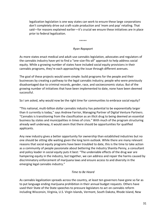legalization legislation is one way states can work to ensure these large corporations don't completely drive out craft-scale production and 'mom and pop' retailing. That said—for reasons explained earlier—it's crucial we ensure these initiatives are in place prior to federal legalization.

\*\*\*\*\*

#### *Ryan Rapaport*

As more states enact medical and adult-use cannabis legislation, advocates and regulators of the cannabis industry have yet to find a "one-size-fits-all" approach to help address social equity. While a growing number of states have included social equity provisions in their cannabis programs, they're each approaching the issue through different avenues.

The goal of these projects would seem simple: build programs for the people and their businesses by creating a pathway to the legal cannabis industry; people who were previously disadvantaged due to criminal records, gender, race, and socioeconomic status. But of the growing number of initiatives that have been implemented to date, none have been deemed successful.

So I am asked, why would now be the right time for communities to embrace social equity?

"This national, multi-billion dollar cannabis industry has potential to be exponentially larger than it currently is today," says Andrew Farrior, Managing Partner of Digital Venture Partners. "Cannabis is transitioning from the classification as an illicit drug to being deemed an essential business by states and municipalities in times of crisis." With much of the program structuring already well underway, it would seem that there should be opportunities for qualified applicants.

Any new industry gives a better opportunity for ownership than established industries but no one should be sitting idle waiting given the long term outlook. While there are many relevant reasons that social equity programs have been troubled to date, this is the time to take action as a community of people passionate about bettering the industry Shanita Penny, a consultant and policy leader in social equity puts it best: "The undeniable effects of the drug war are hampering equity in the industry, but together, we can address and repair the harms caused by discriminatory enforcement of marijuana laws and ensure access to and diversity in the emerging legal cannabis industry."

#### *Time to Be Heard*

As cannabis legalization spreads across the country, at least ten governors have gone so far as to put language ending marijuana prohibition in their annual budget requests. Others have used their State of the State speeches to pressure legislators to act on cannabis reform including Wisconsin, Virginia, U.S. Virgin Islands, Vermont, South Dakota, Rhode Island, New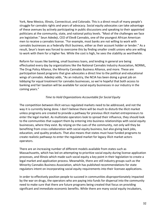York, New Mexico, Illinois, Connecticut, and Colorado. This is a direct result of many people's struggle for cannabis rights and years of advocacy. Social equity advocates can take advantage of these avenues by actively participating in public discussions and speaking to their appointed politicians at the community, state, and national policy levels. "Most of the challenges we face are legislative." Seun Adedeji, CEO of Elev8 Cannabis, one of the youngest African American men to receive a cannabis license. "For example, most banks are not willing to work with cannabis businesses as a federally illicit business, either as their account holder or lender." As a result, Seun's team was forced to overcome this by finding smaller credit unions who are willing to work with them for a higher fee. While the cost is high, he sees the stability as worthwhile.

Reform for issues like banking, small business loans, and lending in general are being effectuated every day by organizations like the National Cannabis Industry Association, NORML, The Drug Policy Alliance, the Minority Cannabis Business Alliance, and more. These are participation based programs that give advocates a direct line to the political and educational wings of cannabis. Adedeji adds, "As an industry, the NCIA has been doing a great job on lobbying for equal treatment for cannabis businesses, so we're hopeful that both access to banking and fair taxation will be available for social equity businesses in our industry in the coming years."

#### *Time to Hold Organizations Accountable for Social Equity*

The competition between illicit versus regulated markets need to be addressed, and not the way it is currently being done. I don't believe there will be much to disturb the illicit market unless programs are created to provide a pathway for previous illicit market entrepreneurs to enter the legal market. As multistate operators look to spread their influence, they should look to the communities that support them by entering into business relationships with social equity businesses, where they exist. By relying on the cues of the community, not only will they be benefiting from cross collaboration with social equity business, but also giving back jobs, education, and quality products. That also means that states must have funded programs to create realistic pathways to enter the regulated market for legacy illicit market actors operators.

There are an increasing number of different models available from states such as Massachusetts, which has led on attempting to prioritize social equity during license application processes, and Illinois which made such social equity a key point in their legislation to create a legal market and application process. Meanwhile, there are still industry groups such as the Minority Cannabis Business Association, which has published recommendations for state regulators intent on incorporating social equity requirements into their licensee applications.

In order to effectively position people to succeed in communities disproportionately impacted by the war on drugs, the operators who are paying into funds for dispersal into the community need to make sure that there are future programs being created that focus on providing significant and immediate economic benefits. While there are many social equity incubators,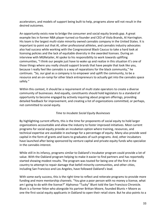accelerators, and models of support being built to help, programs alone will not result in the desired outcomes.

An opportunity exists now to bridge the consumer and social equity brands gap. A great example lies in former NBA player-turned co-founder and CEO of Viola Brands, Al Harrington. His team is the largest multi-state minority owned cannabis company in the United States. It is important to point out that Al, other professional athletes, and cannabis industry advocates also had success while working with the Congressional Black Caucus to take a hard look at licensing policies and the lack of equitable diversity in the awarded licenses. During an interview with MGRetailer, Al spoke to his responsibility to work towards uplifting communities, "I think our people just have to wake up and realize in this situation it's one of those things where you really should support brands that have people that look like you, because I really feel like cannabis is a way of reparations for the black community," he continues. "So, our goal as a company is to empower and uplift the community, to be a resource and an on-ramp for other black entrepreneurs to actually get into the cannabis space safely."

Within this context, it should be a requirement of multi state operators to create a diverse community of businesses. And equally, constituents should hold legislators to a standard of opportunity to become engaged by actively inquiring about program offerings, providing detailed feedback for improvement, and creating a list of organizations committed, or perhaps, not committed to social equity.

#### *Time to Incubate Social Equity Businesses*

By highlighting current efforts, this is the time for proponents of social equity to hold larger organizations accountable and allow the industry to foster improved initiatives. Most current programs for social equity provide an incubation option where training, resources, and technical expertise are available in exchange for a percentage of equity. Many also provide seed capital in the form of grants and loans to graduates of such programs. And, other incubators have launched after being sponsored by venture capital and private equity funds who specialize in the cannabis interest.

While still in its infancy, programs similar to Oakland's Incubator program could provide a lot of value. With the Oakland program helping to make it easier to find partners and has reportedly started showing modest results. The program was touted for being one of the first in the country to attempt to repair damage that befell minority communities, and other cities, including San Francisco and Los Angeles, have followed Oakland's lead.

With some early success, this is the right time to reflect and reiterate programs to provide more funding and more mentorship channels. "You give a poor person with no money a license, what am I going to do with the license?" Alphonso "Tucky" Blunt told the San Francisco Chronicle. Blunt is a former felon who alongside his partner Brittan Moore, founded Blunts + Moore as one the first social equity applicants in Oakland to open their retail store. But he also points to a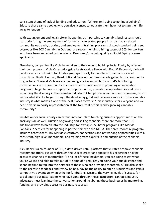consistent theme of lack of funding and education. "Where am I going to go find a building? Educate those same people, who you give licenses to, educate them how not to sign their life away to lenders."

With expungement and legal reform happening as it pertains to cannabis, businesses should start prioritizing the employment of formerly incarcerated people in all cannabis-related community outreach, tracking, and employment training programs. A good standard being set by groups like ECO Cannabis in Oakland, are recommending a hiring target of 50% for workers who have been impacted by the War on Drugs and/or would qualify as Social Equity license applicants.

Elsewhere, companies like Viola have taken to their own to build up Social Equity by offering their own program: Viola Cares. Alongside its strategic alliance with Root & Rebound, Viola will produce a first-of-its-kind toolkit designed specifically for people with cannabis-related convictions. Dustin Heiman, Head of Brand Development feels an obligation to the community to give back: "Here at Viola we are becoming a voice and a platform that's facilitating conversations in the community to increase representation with providing an incubation program to begin to create employment opportunities, educational opportunities and overexpanding the diversity in the cannabis industry." A ten plus year cannabis entrepreneur, Dustin knows what it's like to get through the day-to-day grind and believes a more inclusive cannabis industry is what makes it one of the best places to work: "This industry is for everyone and we need diverse minority representation at the forefront of this rapidly growing cannabis community."

Incubation for social equity can extend into non-plant touching business opportunities on the ancillary side as well. Outside of growing and selling cannabis, there are more than 100 additional ways to break into the industry, for exmaple incubator programs like Merida Capital's i2 accelerator happening in partnership with the MCBA. The three-month i2 program includes access to: MCBA-Merida executives, connections and networking opportunities with a consistent, high-level mentorship, and training from experts in and outside of the cannabis industry.

Alex Henry is a co-founder of JIFF, a data-driven retail platform that curates bespoke cannabis recommendations. He went through the i2 accelerator and spoke to his experience having access to channels of mentorship: "For a lot of these incubators, you are going to get what you're willing and able to take out of it. Some of it requires you doing your due diligence and spending time to tap into the network of those who are providing mentorship." He also spoke to the access to feedback and review he had, having the ability to pitch his business and gain a competitive advantage when vying for fundraising. Despite the varying levels of success for social equity business leaders who have gone through these incubators, cannabis industry advocates must lean into the conversation around incubating those businesses by mentoring, funding, and providing access to business resources.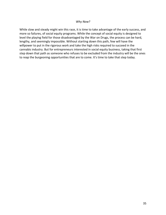#### *Why Now?*

While slow and steady might win this race, it is time to take advantage of the early success, and more so failures, of social equity programs. While the concept of social equity is designed to level the playing field for those disadvantaged by the War on Drugs, the process can be hard, lengthy, and seemingly impossible. Without starting down this path, few will have the willpower to put in the rigorous work and take the high risks required to succeed in the cannabis industry. But for entrepreneurs interested in social equity business, taking that first step down that path as someone who refuses to be excluded from the industry will be the ones to reap the burgeoning opportunities that are to come. It's time to take that step today.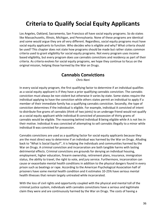# <span id="page-35-0"></span>**Criteria to Qualify Social Equity Applicants**

Los Angeles, Oakland, Sacramento, San Francisco all have social equity programs. So do states like Massachusetts, Illinois, Michigan, and Pennsylvania. None of these programs are identical and some would argue they are all very different. Regardless, social equity programs must have social equity applicants to function. Who decides who is eligible and why? What criteria should be used? This chapter does not state how programs should be made but rather states common criteria used to grant eligibility for social equity programs. Not every program uses income based eligibility, but every program does use cannabis convictions and residency as part of their criteria. As criteria evolves for social equity programs, we hope they continue to focus on the original mission, helping those harmed by the War on Drugs.

## **Cannabis Convictions**

*Chris Nani*

<span id="page-35-1"></span>In every social equity program, the first qualifying factor to determine if an individual qualifies as a social equity applicant is if they have a prior qualifying cannabis conviction. The cannabis conviction must always be non-violent but otherwise it varies by state. Some states require the individual applying to have the conviction while others states permit an individual to apply if a member of their immediate family has a qualifying cannabis conviction. Secondly, the type of conviction determines if the individual is eligible. For example, individual A convicted of intent to distribute five grams of cannabis (think of two joints) to an underage friend would not qualify as a social equity applicant while individual B convicted of possession of thirty grams of cannabis would be eligible. The reasoning behind individual B being eligible while A is not lies in their motive. Individual A was convicted of attempting to sell cannabis illegally to a minor while individual B was convicted for possession.

Cannabis convictions are used as a qualifying factor for social equity applicants because they are the most direct way to determine if an individual was harmed by the War on Drugs. Alluding back to "What Is Social Equity?", it is helping the individuals and communities harmed by the War on Drugs. A criminal conviction and incarceration are both tangible harms with lasting detrimental effects. Criminal convictions are grounds for denying an individual housing, employment, higher education, firearm ownership, retirement plans, insurance, immigration status, the ability to travel, the right to vote, and jury service. Furthermore, incarceration can cause or exacerbate mental health conditions in addition to the physical dangers found in every prison such as beatings or rape. According to the American Psychological Association half of prisoners have some mental health condition and it estimates 10-25% have serious mental health illnesses that remain largely untreated while incarcerated.

With the loss of civil rights and opportunity coupled with the physical and mental toll of the criminal justice system, individuals with cannabis convictions have a serious and legitimate claim they were and are continuously harmed by the War on Drugs. The costs of having a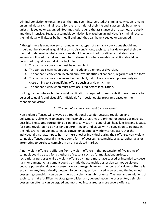criminal conviction extends far past the time spent incarcerated. A criminal conviction remains on an individual's criminal record for the remainder of their life and is accessible by anyone unless it is sealed or expunged. Both methods require the assistance of an attorney, are costly, and time intensive. Because a cannabis conviction is placed on an individual's criminal record, the individual will always be harmed if and until they can have it sealed or expunged.

Although there is controversy surrounding what types of cannabis convictions should and should not be allowed as qualifying cannabis convictions, each state has developed their own method to determine what convictions should be permitted. Localities and states have generally followed the below rules when determining what cannabis conviction should be permitted to qualify an individual including:

- 1. The cannabis conviction must be non-violent.
- 2. The cannabis conviction does not include any element of diversion.
- 3. The cannabis conviction involved only low quantities of cannabis, regardless of the form.
- 4. The cannabis conviction, even if non-violent, did not occur contemporaneously or in close timing to a disqualifying offense such as a violent crime.
- 5. The cannabis conviction must have occurred before legalization.

Looking further into each rule, a valid justification is required for each rule if these rules are to be used to qualify and disqualify individuals from social equity programs based on their cannabis conviction.

### *1. The cannabis conviction must be non-violent.*

Non-violent offenses will always be a foundational qualifier because regulators and policymakers alike want to ensure their cannabis programs are primed for success as much as possible. The stigma surrounding a cannabis conviction in general still heavily exists and is cause for some regulators to be hesitant in permitting any individual with a conviction to operate in the industry. A non-violent cannabis conviction additionally informs regulators that the individual did not attempt to harm or hurt another individual during their offense. Non-violent cannabis offenses generally include some form of possessing cannabis, drug paraphernalia, or attempting to purchase cannabis in an unregulated market.

A non-violent offense is different from a violent offense in that possession of five grams of cannabis could be used for a plethora of reasons such as for medication, anxiety, or recreational purposes while a violent offense by nature must have caused or intended to cause harm or damage. An argument could be made that cannabis possession cannot be violent because possession does not cause harm or damage; however, the scope of a violent offense is expansive. Anytime a deadly weapon, force, or aggression is used in an act and the individual is possessing cannabis it can be considered a violent cannabis offense. The laws and regulations of each state make it difficult to state generalities, and, depending on the prosecutor, a simple possession offense can be argued and morphed into a greater more severe offense.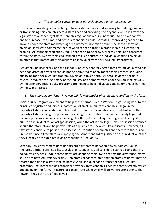### *2. The cannabis conviction does not include any element of diversion.*

Diversion is providing cannabis bought from a state-compliant dispensary to underage minors or transporting said cannabis across state lines and providing it to anyone, even if it's from one legal state to another legal state. Cannabis regulations require individuals to be over twentyone to purchase, consume, and possess cannabis in adult use states. By providing cannabis to anyone under the state mandated age requirement, diversion occurs. The second form of diversion, interstate commerce, occurs when cannabis from Colorado is sold in Georgia for example. All cannabis regulations require cannabis to be grown, process, sold, and consumed within the state. By diverting legal cannabis to illicit sources, an individual commits diversion an offense that immediately disqualifies an individual from any social equity program.

Regulators, policymakers, and the cannabis industry generally agree that any individual who has been convicted of diversion should not be permitted to apply for cannabis licenses, including qualifying for a social equity program. Diversion is taken seriously because of the harms it causes. It reduces the legitimacy of the industry and demonstrates poor decision-making skills by the offender. Social equity programs are meant to help individuals and communities harmed by the War on Drugs.

### *3. The cannabis conviction involved only low quantities of cannabis, regardless of the form.*

Social equity programs are meant to help those harmed by the War on Drugs. Going back to the principles of justice and fairness, possession of small amounts of cannabis is legal in the majority of states. In no state is unlicensed distribution of cannabis permitted, but since the majority of states recognize possession as benign when states do open their newly legalized markets possession is considered an eligible offense for social equity programs. It's unjust to punish an individual for an act (possession) when the act is now legal. Small possession offenses should therefore always be permissible as a qualifier for social equity applicants. However, all fifty states continue to persecute unlicensed distribution of cannabis and therefore there is no unjust act since all the states are applying the same standard of justice to an individual whether they illegally distributed ten kilos of cannabis in 1990 or 2020.

Secondly, law enforcement does not discern a difference between flower, edibles, liquids, tinctures, dermal patches, pills, capsules, or lozenges. It's all considered cannabis and there is no equivalency scale. While some states are adapting their laws to reflect the difference, many still do not have equivalency scales. Ten grams of concentrates and ten grams of flower may be treated the same in a state making both eligible as a qualifying offense for social equity programs. Regulators should reconsider how they treat cannabis since its potency greatly varies depending on the form. A tincture or concentrate while small will deliver greater potency than flower if they both are of equal weight.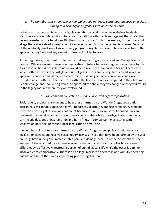### *4. The cannabis conviction, even if non-violent, did not occur contemporaneously or in close timing to a disqualifying offenses such as a violent crime.*

Individuals that do qualify with an eligible cannabis conviction may nevertheless be denied status as a social equity applicant because of additional offenses levied against them. Was the person arrested with a handgun? Did they push an officer? In both scenarios, prosecutors could allege there was a deadly weapon or violence in conjunction to the cannabis offense. Because of the relatively small size of social equity programs, regulators have to be very selective in the applicants they take and any violent offense will not be tolerated.

As per regulators, they want to see their social equity programs succeed and the applicants flourish. While a violent offense is not indicative of future behavior, regulators continue to use it as a disqualifier. A possible solution would be to revise the standard to bar applicants with violent offenses within the last [X] amount of years. For example, regulators could look at an applicant's entire criminal record to determine qualifying cannabis convictions and only consider violent offenses that occurred within the last five years as compared to their lifetime. People change and should be given the opportunity to show they've changed or they will return to the legacy market where they are welcomed.

### *5. The cannabis conviction must have occurred before legalization.*

Social equity programs are meant to help those harmed by the War on Drugs. Legalization decriminalizes cannabis, making it lawful to possess, distribute, and use cannabis. A cannabis conviction post-legalization does not count because there is no injustice. Cannabis laws are reformed post-legalization and are not nearly as reprehensible as pre-legalization laws which can include decades of incarceration and hefty fines. In comparison, most states with legalization only fine individuals post-legalization a small fine.

It would be an insult to those harmed by the War on Drugs to see applicants with only postlegalization convictions receive social equity licenses. Those that have been harmed by the War on Drugs have undergone immeasurable pain and damage because of their convictions. The amount of harm caused by a fifteen year sentence compared to a fifty dollar fine are very different. One effectively destroys a portion of an individual's life while the other is a minor inconvenience comparatively. There is also a legal market to operate in and willfully operating outside of it is not the same as operating prior to legalization.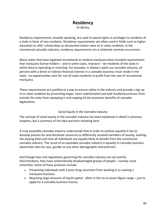## **Residency**

*Eli McVey*

Residency requirements, broadly speaking, are used to award rights or privileges to residents of a state in favor of non-residents. Residency requirements are often used in fields such as higher education to offer scholarships or discounted tuition rates to in-state residents. In the commercial cannabis industry, residency requirements are a relatively common occurrence.

Many states that have legalized recreational or medical marijuana have included requirements that marijuana license holders – and in some cases, investors – be residents of the state in which they're operating or investing. For example, in Alaska's adult-use cannabis industry, all persons with a direct or indirect financial interest in a cannabis business must reside in the state - no opportunities exist for out-of-state residents to profit from the sale of recreational marijuana.

These requirements are justified as a way to ensure safety in the industry and provide a leg-up to in-state residents by preventing larger, more sophisticated and well-funded businesses from outside the state from swooping in and reaping all the economic benefits of cannabis legalization.

### *Social Equity in the Cannabis Industry*

The concept of social equity in the cannabis industry has been explained in-detail in previous chapters, but a summary of the idea warrants restating here.

A truly equitable cannabis industry understands that in order to achieve equality it has to develop policies for and distribute resources to differently situated members of society, leveling the playing field such that all individuals are equally likely to benefit from the commercial cannabis industry. The result of an equitable cannabis industry is equality in cannabis business ownership rates by race, gender or any other demographic characteristic.

And though laws and regulations governing the cannabis industry are not overtly discriminatory, they have systematically disadvantaged groups of people – namely racial minorities. Some of these practices include:

- Preventing individuals with a prior drug conviction from working in or owning a marijuana business.
- Requiring large amounts of liquid capital often in the six to seven-figure range just to apply for a cannabis business license.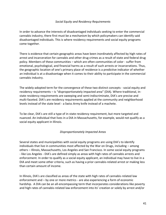### *Social Equity and Residency Requirements*

In order to advance the interests of disadvantaged individuals seeking to enter the commercial cannabis industry, there first must be a mechanism by which policymakers can identify said disadvantaged individuals. This is where residency requirements and social equity programs come together.

There is evidence that certain geographic areas have been inordinately affected by high rates of arrest and incarceration for cannabis and other drug crimes as a result of state and federal drug policy. Members of these communities – which are often communities of color - suffer from emotional, psychological, and financial harms as a result of such arrests or incarcerations. Thus, the geographic location of one's primary place of residence is a predictive indicator of whether an individual is at a disadvantage when it comes to their ability to participate in the commercial cannabis industry.

The widely-adopted term for the convergence of these two distinct concepts - social equity and residency requirements – is "disproportionately impacted area" (DIA). Where traditional, instate residency requirements are sweeping and semi-indiscriminate, DIA's are precise and multi-faceted. DIA's are residency requirements applied at the community and neighborhood levels instead of the state level - a Swiss Army knife instead of a machete.

To be clear, DIA's are still a type of in-state residency requirement, but more targeted and nuanced. An individual that lives in a DIA in Massachusetts, for example, would not qualify as a social equity applicant in Illinois.

### *Disproportionately Impacted Areas*

Several states and municipalities with social equity programs are using DIA's to identify individuals that live in communities most affected by the War on Drugs, including – among others – Illinois, Massachusetts, Los Angeles and San Francisco. In some social equity programs - like Los Angeles - DIA's are defined simply as areas with high rates of cannabis arrests and enforcement. In order to qualify as a social equity applicant, an individual may have to live in a DIA and meet some other criteria, such as having a prior cannabis-related arrest or making less than certain amount of income.

In Illinois, DIA's are classified as areas of the state with high rates of cannabis-related law enforcement and – by one or more metrics - are also experiencing a form of economic hardship. A DIA can be an all-encompassing term that incorporates considerations like poverty and high rates of cannabis-related law enforcement into its' creation or solely by arrest and/or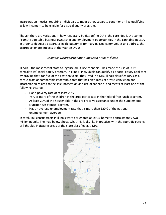incarceration metrics, requiring individuals to meet other, separate conditions – like qualifying as low-income – to be eligible for a social equity program.

Though there are variations in how regulatory bodies define DIA's, the core idea is the same: Promote equitable business ownership and employment opportunities in the cannabis industry in order to decrease disparities in life outcomes for marginalized communities and address the disproportionate impacts of the War on Drugs.

### *Example: Disproportionately Impacted Areas in Illinois*

Illinois – the most recent state to legalize adult-use cannabis – has made the use of DIA's central to its' social equity program. In Illinois, individuals can qualify as a social equity applicant by proving that, for five of the past ten years, they lived in a DIA. Illinois classifies DIA's as a census tract or comparable geographic area that has high rates of arrest, conviction and incarceration related to the sale, possession and use of cannabis, and meets at least one of the following criteria:

- Has a poverty rate of at least 20%.
- 75% or more of the children in the area participate in the federal free lunch program.
- At least 20% of the households in the area receive assistance under the Supplemental Nutrition Assistance Program.
- Has an average unemployment rate that is more than 120% of the national unemployment average.

In total, 683 census tracts in Illinois were designated as DIA's, home to approximately two million people. The map below shows what this looks like in practice, with the sporadic patches of light blue indicating areas of the state classified as a DIA.

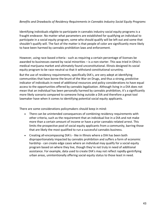### *Benefits and Drawbacks of Residency Requirements in Cannabis Industry Social Equity Programs*

Identifying individuals eligible to participate in cannabis industry social equity programs is a fraught endeavor. No matter what parameters are established for qualifying an individual to participate in a social equity program, some who should qualify will be left out and some that shouldn't qualify will. The fact of the matter is that people of color are significantly more likely to have been harmed by cannabis prohibition laws and enforcement.

However, using race-based criteria - such as requiring a certain percentage of licenses be awarded to businesses owned by racial minorities – is a non-starter. This was tried in Ohio's medical marijuana market and ultimately found unconstitutional. Illinois designed its social equity program to be race-neutral so that it withstand constitutional scruntiny.

But the use of residency requirements, specifically DIA's, are very adept at identifying communities that have borne the brunt of the War on Drugs, and thus a strong, predictive indicator of individuals in need of additional resources and policy considerations to have equal access to the opportunities offered by cannabis legalization. Although living in a DIA does not mean that an individual has been personally harmed by cannabis prohibition, it's a significantly more likely scenario compared to someone living outside a DIA and therefore a great tool lawmaker have when it comes to identifying potential social equity applicants.

There are some considerations policymakers should keep in mind:

- There can be unintended consequences of combining residency requirements with other criteria, such as the requirement that an individual live in a DIA and not make more than a certain amount of income or have a prior cannabis-related arrest. This limits the prospective pool of social equity applicants from a community, barring those that are likely the most qualified to run a successful cannabis business.
- Creating all-encompassing DIA's like in Illinois where a DIA has been both disproportionately impacted by cannabis prohibition and suffers a form of economic hardship - can create edge cases where an individual may qualify for a social equity program based on where they live, though they're not truly in need of additional assistance. For example, data used to create DIA's may not reflect rapidly-gentrifying urban areas, unintentionally offering social equity status to those least in need.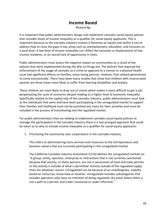# **Income Based**

*Richard Ng*

It is important that public administrators design and implement cannabis social equity policies that consider levels of income inequality as a qualifier for social equity applicants. This is important because as the cannabis industry evolves it becomes an equity tool within a city to address how to close the gaps in key areas such as unemployment, education, and inclusion on a local level. A low level of income inequality can reflect the exclusion or displacement of lowincome residents, or an overall lack of opportunity in cities.

Public administrators must assess the negative impact on communities as a result of the policies that were implemented during the War on Drugs era. The policies that required the enforcement of the usage of cannabis as a crime as opposed to a mental or a physical health issue had significant effects on families, many losing parents, relatives, that setback generations to come economically. There have been many studies that show that children with incarcerated parents are three times more likely to suffer from learning disabilities and anxiety.

These children are most likely to drop out of school which makes it more difficult to get a job, perpetuating the cycle of economic despair leading to a higher level of economic inequality. Specifically related to the capital side of the cannabis industry, public administrators must look at the individuals that were and have been participating in the unregulated market to support their families and livelihood must not be punished any more for their activities and must be included in the process of transitioning into the regulated market.

For public administrators that are looking to implement cannabis social equity policies to manage the participation in the cannabis industry there is a two pronged approach that could be taken as to why to include income inequality as a qualifier for social equity applicants:

1. Prioritizing the community over corporations in the cannabis industry.

This refers to administering more services and resources to the entrepreneurs and business owners that are currently participating in the unregulated market.

The California Cannabis Industry Association (CCIA) defines the unregulated markets as: "A group, entity, operator, enterprise or interactions that is not currently sanctioned because that activity, or those persons, are not in possession of local and state permits or the activity is outside of what is permitted. Activity outside of the regulated supply chain for whatever reason. Unregulated can be because of an unwillingness, inability based on resources, know-how or location. Unregulated includes subcategories that includes operators who have no intention of being regulated, dry areas where there is not a path to a permit, and under resourced or under informed. "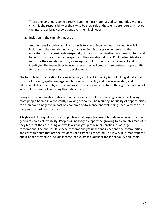These entrepreneurs come directly from the most marginalized communities within a city. It is the responsibility of the city to be stewards of these entrepreneurs and not put the interest of large corporations over their livelihoods.

2. Inclusion in the cannabis industry.

Another lens for public administrators is to look at income inequality and its role in inclusion in the cannabis industry. Inclusion in this analysis would refer to the opportunity for all residents—especially those most marginalized—to contribute to and benefit from the economic prosperity of the cannabis industry. Public administrators must use the cannabis industry as an equity tool in municipal management and by identifying the inequalities in income level they will create more business opportunities for jobs and entrepreneurship development.

The formula for qualification for a social equity applicant if the city is not looking at data that consist of poverty, spatial segregation, housing affordability and homeownership, and educational attainment, by income and race. This data can be captured through the creation of indices if they are not collecting this data already.

Rising income inequality creates economic, social, and political challenges and risks leaving more people behind in a constantly evolving economy. The resulting inequality of opportunities can then have a negative impact on economic performance and well-being. Inequality can also fuel protectionist sentiments.

A high level of inequality also raises political challenges because it breeds social resentment and generates political instability. People will no longer support the growing free cannabis market if they feel that they are losing out while a small group of winners profit such as large corporations. The end result is these corporations get richer and richer and the communities and entrepreneurs that are the residents of a city get left behind. This is why it is important for public administrators to include income inequality as a qualifier for social equity applicants.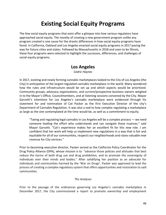# **Existing Social Equity Programs**

The few social equity programs that exist offer a glimpse into how various regulators have approached social equity. The novelty of creating a new government program unlike any program created is one cause for the drastic differences in how social equity programs have fared. In California, Oakland and Los Angeles enacted social equity programs in 2017 paving the way for future cities and states. Followed by Massachusetts in 2018 and soon to be Illinois, these four programs were selected to highlight the successes, differences, and challenges of social equity programs.

### **Los Angeles**

*Cedric Haynes*

In 2017, existing and newly forming cannabis marketplaces looked to the City of Los Angeles (the City) in anticipation of the largest regulated cannabis marketplace in the world. Many wondered how the rules and infrastructure would be set up and which aspects would be prioritized. Community groups, advocacy organizations, and current/prospective business owners weighed in to the Mayor's Office, Councilmembers, and at listening sessions convened by the City. Mayor Garcetti's intentions for Los Angeles's cannabis marketplace were evidenced through his statement for and nomination of Cat Packer as the first Executive Director of the city's Department of Cannabis Regulation. It was also a nod to how complex regulating a marketplace as large as the one contemplated at the time would be, as well as a commitment to equity.

"Taxing and regulating legal cannabis in Los Angeles will be a complex process — we need someone leading the effort who understands and can navigate those nuances," said Mayor Garcetti. "Cat's experience makes her an excellent fit for this new role. I am confident that her work will help us implement new regulations in a way that is fair and equitable for all of our communities, respects our neighborhoods and raises valuable new revenue for City services."

Prior to becoming executive director, Packer served as the California Policy Coordinator for the Drug Policy Alliance (DPA), whose mission is to "advance those policies and attitudes that best reduce the harms of both drug use and drug prohibition, and to promote the sovereignty of individuals over their minds and bodies." After solidifying her position as an advocate for individuals and communities harmed by the 'War on Drugs', Packer was approved to lead the process of creating a complex regulatory system that offers opportunities and restoration to said communities.

#### *The Analyses*

Prior to the passage of the ordinances governing Los Angeles's cannabis marketplace in December 2017, the City commissioned a report to promote ownership and employment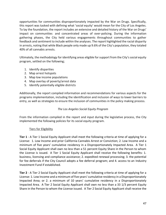opportunities for communities disproportionately impacted by the War on Drugs. Specifically, this report was tasked with defining what 'social equity' would mean for the City of Los Angeles. To lay the foundation, the report includes an extensive and detailed history of the War on Drugs' impact on communities and concentrated areas of over-policing. During the information gathering phases, the City held various engagements throughout communities to gather feedback and sentiment to include within the analyses. The report highlighted the racial disparity in arrests, noting that while Black people only made up 9.6% of the City's population, they totaled 40% of all cannabis arrests.

Ultimately, the methodology for identifying areas eligible for support from the City's social equity program, settled on the following;

- 1. Identify disparities
- 2. Map arrest hotspots
- 3. Map low income populations
- 4. Map overlay of poverty/arrest data
- 5. Identify potentially eligible districts

Additionally, the report compiled information and recommendations for various aspects for the programs implementation, including the identification and inclusion of ways to lower barriers to entry, as well as strategies to ensure the inclusion of communities in the policy making process.

### *The Los Angeles Social Equity Program*

From the information compiled in the report and input during the legislative process, the City implemented the following policies for its social equity program.

### Tiers for Eligibility

**Tier 1** - A Tier 1 Social Equity Applicant shall meet the following criteria at time of applying for a License: 1. Low Income and prior California Cannabis Arrest or Conviction; 2. Low Income and a minimum of five years' cumulative residency in a Disproportionately Impacted Area. A Tier 1 Social Equity Applicant shall own no less than a 51 percent Equity Share in the Person to whom the License is issued. A Tier 1 Social Equity Applicant shall receive the following benefits: 1. business, licensing and compliance assistance; 2. expedited renewal processing; 3. the potential for fee deferrals if the City Council adopts a fee deferral program; and 4. access to an Industry Investment Fund if established.

**Tier 2** - A Tier 2 Social Equity Applicant shall meet the following criteria at time of applying for a License: 1. Low Income and a minimum of five years' cumulative residency in a Disproportionately Impacted Area; or 2. a minimum of 10 years' cumulative residency in a Disproportionately Impacted Area. A Tier 2 Social Equity Applicant shall own no less than a 33 1/3 percent Equity Share in the Person to whom the License issued. A Tier 2 Social Equity Applicant shall receive the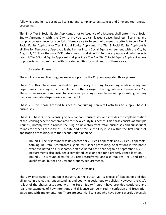following benefits: 1. business, licensing and compliance assistance; and 2. expedited renewal processing.

**Tier 3** - A Tier 3 Social Equity Applicant, prior to issuance of a License, shall enter into a Social Equity Agreement with the City to provide capital, leased space, business, licensing and compliance assistance for a period of three years to Persons who meet the criteria to be a Tier 1 Social Equity Applicant or Tier 2 Social Equity Applicant. If a Tier 3 Social Equity Applicant is eligible for Temporary Approval, it shall enter into a Social Equity Agreement with the City by August 1, 2019, or the date DCR determines it is eligible for Temporary Approval, whichever is later. A Tier 3 Social Equity Applicant shall provide a Tier 1 or Tier 2 Social Equity Applicant access to property with no rent and with prorated utilities for a minimum of three years.

### Licensing Phases

The application and licensing processes adopted by the City contemplated three phases.

Phase 1 - This phase was created to give priority licensing to existing medical marijuana dispensaries operating within the City before the passage of the regulations in December 2017. These businesses were supposed to have been operating in compliance with prior rules governing medicinal cannabis dispensaries within the City.

Phase 2 - This phase licensed businesses conducting non-retail activities to supply Phase 1 businesses.

Phase 3 - Phase 3 is the licensing of new cannabis businesses, and includes the implementation of the licensing scheme contemplated for social equity businesses. This phase consists of multiple 'rounds', notably with 2 rounds focusing on new storefront retail businesses and subsequent rounds for other license types. To date and of focus, the City is still within the first round of application processing, with the second round pending.

- Round 1- The first round was designated for 75 Tier 1 applicants and 25 Tier 2 applicants, totaling 100 retail storefronts eligible for further processing. Applications in this phase were evaluated on a first come, first evaluated basis that began on September 3, 2019. Requirements also included a completed lease or deed for a properly-zoned location.
- Round 2- This round allots for 150 retail storefronts, and also requires Tier 1 and Tier 2 qualification, but has no upfront property requirements.

### *Policy Outcomes*

The City prioritized an equitable industry at the outset via its choice of leadership and due diligence in evaluating, understanding and codifying social equity policies. However the City's rollout of the phases associated with the Social Equity Program have provided cautionary and real-time examples of how intentions and diligence can be mired in confusion and frustration associated with implementation. There are potential licensees who have been severely adversely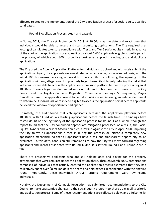affected related to the implementation of the City's application process for social equity qualified candidates.

### Round 1 Application Process, Audit and Lawsuit

In Spring 2019, the City set September 3, 2019 at 10:00am as the date and exact time that individuals would be able to access and start submitting applications. The City required prevetting of candidates to ensure compliance with Tier 1 and Tier 2 social equity criteria in advance of the start of the application process, leading to about 1,600 applicants eligible to participate in the process, of which about 800 prospective businesses applied (including test and duplicate applications).

The City used the Accella Application Platform for individuals to upload and ultimately submit the applications. Again, the applicants were evaluated on a first-come, first-evaluated basis, with the initial 100 businesses receiving approval to operate. Shortly following the opening of the application window, allegations of impropriety began to manifest, largely detailing the belief that individuals were able to access the application submission platform before the process began at 10:00am. These allegations dominated news outlets and public comment periods of the City Council and Los Angeles Cannabis Regulation Commission meetings. Subsequently, Mayor Garcetti ordered the application round to be halted while commissioning an independent audit to determine if individuals were indeed eligible to access the application portal before applicants believed the window of opportunity had opened.

Ultimately, the audit found that 226 applicants accessed the application platform before 10:00am, with 14 individuals starting applications before the launch time. The findings have casted doubt on the legitimacy of the application process for Round 1 as a whole, though the report found that the City conducted appropriate mitigation processes. As a result, the Social Equity Owners and Workers Association filed a lawsuit against the City in April 2020, imploring the City to vet all applications turned in during the process, or initiate a completely new application mechanism so that all applicants have a fair and transparent opportunity to be evaluated. To this date, confusion still remains as to how the City will move forward regarding applicants and licenses associated with Round 1. Until it is settled, Round 1 and Round 2 are in flux.

There are prospective applicants who are still holding onto and paying for the property agreements that were required under this application phase. Through March 2020, organizations composed of individuals that actually entered the application process estimated that they had collectively spent over \$8 million dollars on rent and holding fees in connection with the ongoing round. Importantly, these individuals through criteria requirements, were low-income individuals.

Notably, the Department of Cannabis Regulation has submitted recommendations to the City Council to make substantive changes to the social equity program to shore up eligibility criteria and application process. Some of these recommendations are reflected below, and a fulsome list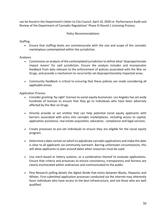can be found in the Department's letter to City Council, April 10, 2020 re: Performance Audit and Review of the Department of Cannabis Regulations' Phase III Round 1 Licensing Process.

### *Policy Recommendations*

### **Staffing**

• Ensure that staffing levels are commensurate with the size and scope of the cannabis marketplace contemplated within the jurisdiction.

### Analyses

- Commission an analysis of the contemplated jurisdiction to define what 'disproportionate impact means' for said jurisdiction. Ensure the analysis includes and incorporates feedback from data relevant to the enforcement of policies associated with the War on Drugs, and provide a mechanism to recurrently vet disproportionately impacted areas.
- Community feedback is critical to ensuring that these policies are made considering all applicable lenses.

Application Process

- Consider granting 'by-right' licenses to social-equity businesses. Los Angeles has set aside hundreds of licenses to ensure that they go to individuals who have been adversely affected by the War on Drugs.
- Directly provide or vet entities that can help potential social equity applicants with barriers associated with entry into cannabis marketplaces, including access to capital, application assistance, real estate acquisition, education, compliance and legal services.
- Create processes to pre-vet individuals to ensure they are eligible for the social equity program.
- Determine a date-certain on which to adjudicate cannabis applications and make this date is clear to all applicants via community outreach. Barring unforeseen circumstances, this will allow applicants to plan around dates when resources must be used.
- Use merit-based or lottery systems, or a combination thereof to evaluate applications. Ensure that criteria and processes to ensure consistency, transparency and fairness are clearly enumerated within ordinances and communicated to the public.
- Pew Research polling details the digital divide that exists between Blacks, Hispanics and Whites. First-submitted application processes conducted via the internet may inherently favor individuals who have access to the best infrastructure, and not those who are well qualified.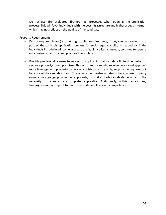• Do not use 'first-evaluated, first-granted' processes when opening the application process. This will favor individuals with the best infrastructure and highest speed internet, which may not reflect on the quality of the candidate.

Property Requirements

- Do not require a lease (or other high-capital requirements, if they can be avoided) as a part of the cannabis application process for social equity applicants, especially if the individuals include low-income as a part of eligibility criteria. Instead, continue to require only business, security, and proposed floor plans.
- Provide provisional licenses to successful applicants that include a finite time period to secure a properly-zoned premises. This will grant those who receive provisional approval more leverage with property owners who wish to secure a higher price per square foot because of the cannabis boom. The alternative creates an atmosphere where property owners may gouge prospective applicants, or make predatory deals because of the necessity of the lease for a completed application. Additionally, in this scenario, any funding secured and spent for an unsuccessful application is completely lost.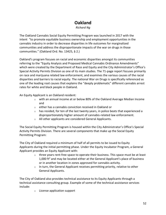# **Oakland**

*Richard Ng*

The Oakland Cannabis Social Equity Permitting Program was launched in 2017 with the intent "to promote equitable business ownership and employment opportunities in the cannabis industry in order to decrease disparities in life outcomes for marginalized communities and address the disproportionate impacts of the war on drugs in those communities." (Oakland Ord. No. 13425, § 2.)

Oakland's program focuses on racial and economic disparities amongst its communities referring to the "Equity Analysis and Proposed Medical Cannabis Ordinance Amendments" which were created by the Department of Race and Equity and the City Administrator's Office's Special Activity Permits Division as one of its main studies. The 71-page report focuses primarily on race and marijuana related law enforcement, and examines the various causes of the racial disparities and barriers to racial equity. The national War on Drugs is specifically referenced as one of the leading root causes that explains the "deeply problematic" different cannabis arrest rates for white and black people in Oakland.

An Equity Applicant is an Oakland resident:

- $\circ$  with an annual income at or below 80% of the Oakland Average Median Income and
- o either has a cannabis conviction received in Oakland or
- $\circ$  has resided, for ten of the last twenty years, in police beats that experienced a disproportionately higher amount of cannabis-related law enforcement.
- o All other applicants are considered General Applicants.

The Social Equity Permitting Program is housed within the City Administrator's Office's Special Activity Permits Division. There are several components that make up the Social Equity Permitting Program:

The City of Oakland required a minimum of half of all permits to be issued to Equity Applicants during the initial permitting phase. Under the Equity Incubator Program, a General Applicant provides an Equity Applicant with:

- $\circ$  three years rent-free space to operate their business. This space must be at least 1,000 ft<sup>2</sup> and may be located either at the General Applicant's place of business or in another location in zones approved for cannabis activity.
- $\circ$  In turn, the General Applicant receives permitting priority, relative to other General Applicants.

The City of Oakland also provides technical assistance to its Equity Applicants through a technical assistance consulting group. Example of some of the technical assistance services include:

o License application support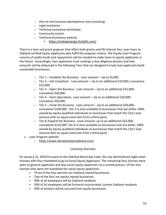- $\circ$  One on one business development and consulting
- o Legal assistance
- o Technical assistance workshops
- o Community events
- o Technical Assistance website
	- <https://makegreengo.thinkific.com/>

There is a loan and grant program that offers both grants and 0% interest four-year loans to Oakland verified Equity Applicants who fulfill the program criteria. The Equity Loan Program consists of public funds and repayments will be needed to make loans to equity applicants in the future. Accordingly, loan applicants must undergo a due diligence process and loan amounts will be disbursed in the following Tiers that are designed to help loan applicants build sustainable businesses.

- $\circ$  Tier 1 Establish the Business. Loan amount Up to \$5,000
- $\circ$  Tier 2 Get Compliant. Loan amount Up to an additional \$10,000; cumulative \$15,000.
- $\circ$  Tier 3 Open the Business. Loan amount Up to an additional \$15,000; cumulative \$30,000
- $\circ$  Tier 4 Start Operations. Loan amount Up to an additional \$20,000; cumulative \$50,000
- $\circ$  Tier 5 Grow the Business. Loan amount Up to an additional \$50,000; cumulative \$100,000. Tier 5 is only available to businesses that are either 100% owned by equity qualified individuals or businesses that match the City's loan amount with an equal-sized loan from a third-party.
- $\circ$  Tier 6–Expand the Business. Loan amount: up to an additional \$25,000; cumulative \$125,000. Tier 6 is only available to businesses that are either 100% owned by equity-qualified individuals or businesses that match the City's loan amount with an equal-sized loan from a third-party.
- Loan Program website
	- o <https://www.elevateimpactoakland.com/>

### *Licensing Overview*

On January 31, 2018 Pursuant to the Oakland Municipal Code, the city administered eight retail licenses with four mandated to go to Social Equity Applicants. The remaining four licenses were open to general applicants and also social equity applicants via a scored process. Of the four licenses that were not mandated for social equity applicants:

- Three of the four permits are Oakland-owned businesses
- Two of the four are equity-owned businesses
- 90% of all employees will be Oakland residents
- 50% of all employees will be formerly incarcerated, current Oakland residents
- 50% of product will be sourced from equity businesses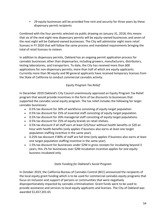▪ 29 equity businesses will be provided free rent and security for three years by these dispensary permit recipients

Combined with the four permits selected via public drawing on January 31, 2018, this means that six of the next eight new dispensary permits will be equity-owned businesses and seven of the next eight will be Oakland-owned businesses. The City will administer eight more retail licenses in FY 2020 that will follow the same process and mandated requirements bringing the total of retail licenses to sixteen.

In addition to dispensary permits, Oakland has an ongoing permit application process for cannabis businesses other than dispensaries, including growers, manufacturers, distributors, testing laboratories, and transporters. To date, the City has received more than 600 applications for non-dispensary permits; more than half of which are equity applicants. Currently more than 90 equity and 90 general applicants have received temporary licenses from the State of California to conduct commercial cannabis activity.

### *Equity Program Tax Relief*

In December 2019 Oakland's City Council unanimously approved an Equity Program Tax Relief program that would provide incentives in the form of tax discounts to businesses that supported the cannabis social equity program. The tax relief includes the following for larger cannabis businesses:

- 0.5% tax discount for 30% of workforce consisting of equity target population.
- 0.5% tax discount for 25% of essential staff consisting of equity target population.
- 0.5% tax discount for 20% managerial staff consisting of equity target populations.
- 0.5% tax discount for 25% of equity brands on retail shelves.
- 0.5% tax discount if all staff earn at least \$25/hour without health benefits or \$20 an hour with health benefits (only applies if business also earns at least one target population staffing incentive in the same year).
- 0.25% tax discount if 80% of staff are full time (only applies if business also earns at least one target population staffing incentive in the same year).
- 1.5% tax discount for businesses under \$2M in gross receipts for incubating beyond 3 years; this 1% for businesses over \$2M Incubation incentive applies for one equity business incubated only.

### *State Funding for Oakland's Social Program*

In October 2019, the California Bureau of Cannabis Control (BCC) announced the recipients of the local equity grant funding which is to be used for commercial cannabis equity programs that focus on inclusion and support of persons or communities that were negatively disproportionately impacted by cannabis criminalization. Grant funds were to be used to provide assistance and services to local equity applicants and licenses. The City of Oakland was awarded \$1,657,201.65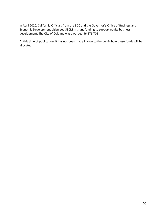In April 2020, California Officials from the BCC and the Governor's Office of Business and Economic Development disbursed \$30M in grant funding to support equity business development. The City of Oakland was awarded \$6,576,705

At this time of publication, it has not been made known to the public how these funds will be allocated.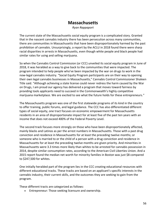## **Massachusetts**

*Ryan Rappaport*

The current state of the Massachusetts social equity program is a complicated story. Granted that in the nascent cannabis industry there has been persecution across many communities, there are communities in Massachusetts that have been disproportionately harmed by the past prohibition of cannabis. Unsurprisingly, a report by the ACLU in 2018 found there were sharp racial disparities in arrests in Massachusetts, even though white people and black people had similar rates for using and selling marijuana.

So when the Cannabis Control Commission (or CCC) unveiled its social equity program in June of 2018, it was heralded as a way to give back to the communities that were impacted. The program intended to help people who've been impacted by the war on drugs to work in the now-legal cannabis industry. "Social Equity Program participants are on their way to opening their own legal cannabis businesses in Massachusetts," Cannabis Control Commissioner Shaleen Title said. "Although achieving a state license could never redress the harm caused by the War on Drugs, I am proud our agency has delivered a program that moves toward fairness by providing tools applicants need to succeed in the Commonwealth's highly competitive marijuana marketplace. We are excited to see what the future holds for these entrepreneurs."

The Massachusetts program was one of the first statewide programs of its kind in the country to offer training, public forums, and legal guidance. The CCC has also differentiated different types of social equity, one tract focuses on economic empowerment for Massachusetts residents in an area of disproportionate impact for at least five of the past ten years with an income that does not exceed 400% of the Federal Poverty Level.

The second track focuses more strongly on those who have been disproportionately affected, mainly blacks and Latinos as per the arrest numbers in Massachusetts. Those with a past drug conviction and residence in Massachusetts for at least the preceding twelve months; or someone who is married to or the child of a person with a drug conviction and residence in Massachusetts for at least the preceding twelve months are given priority. And minorities in Massachusetts were 3.3 times more likely than whites to be arrested for cannabis possession in 2014, despite similar consumption rates, according to the American Civil Liberties Union. And a 2015 report found the median net worth for minority families in Boston was just \$8 compared to \$247,500 for whites.

One initially heralded part of the program lies in the CCC creating educational resources with different educational tracks. These tracks are based on an applicant's specific interests in the cannabis industry, their current skills, and the outcomes they are seeking to gain from the program.

These different tracts are categorized as follows:

• Entrepreneur: Those seeking licensure and ownership.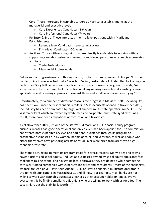- Core: Those interested in cannabis careers at Marijuana establishments at the managerial and executive level.
	- o Core Experienced Candidates (2-6 years)
	- o Core Professional Candidates (7+ years)
- Re-Entry & Entry: Those interested in entry-level positions within Marijuana Establishments.
	- o Re-entry level Candidates (re-entering society)
	- o Entry-level Candidates (0-2 years)
- Ancillary: Those with existing skills that are directly transferable to working with or supporting cannabis businesses. Inventors and developers of new cannabis accessories and tools.
	- o Trade Professionals
	- o Managerial Professionals

But given the progressiveness of this legislation, it's far from sunshine and lollipops. "It is the hardest thing I have ever had to do," says Jeff Bellino, co-founder of Hidden Hemlock alongside his brother Greg Bellino, who were applicants in the microbusiness program. He adds, "As someone who has spent much of my professional engineering career literally writing license applications and licensing approvals, these last three and a half years have been trying."

Unfortunately, for a number of different reasons the progress in Massachusetts social equity has been slow. Since the first cannabis retailers in Massachusetts opened in November 2018, the industry has been dominated by large, well funded, multi-state operators (or MSOs). The vast majority of which are owned by white men and corporate, multistate syndicates. As a result, there have been accusations of corruption and favoritism.

As of November 2019, just one of the state's 184 marijuana CCC's social equity program business licenses had gone operational and only eleven had been applied for. The commission has offered both expedited reviews and additional assistance through its program to prospective businesses run by women, people of color, and veterans, as well as people who either themselves have past drug arrests or reside in or were hired from areas with high cannabis arrest rate.

The state is struggling to meet its program goals for several reasons. Many cities and towns haven't prioritized social equity. And just as businesses owned by social equity applicants face challenges raising capital and navigating local approvals, they are doing so while competing with well-funded companies with expensive lobbyists and consultants. "Most of the challenges we face are legislative," says Seun Adedeji, CEO of Elev8 Cannabis, a multistate operator in Oregon with applications in Massachusetts and Illinois. "For example, most banks are not willing to work with cannabis businesses, either as their account holder or lender. We've overcome this by finding smaller credit unions who are willing to work with us for a fee. The cost is high, but the stability is worth it."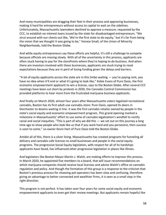And many municipalities are dragging their feet in their process and approving businesses, making it hard for entrepreneurs without access to capital to wait on the sidelines. Unfortunately, Massachusetts lawmakers declined to approve a measure, requested by the CCC, to establish no-interest loans issued by the state for disadvantaged entrepreneurs. "We strut around with our chests out like, 'We're the first state to do equity,' but it's far from being the vision that we thought it was going to be," Horace Small, of the Union of Minority Neighborhoods, told the Boston Globe.

And while equity entrepreneurs say these efforts are helpful, it's still a challenge to compete because officials are moving slowly. With all of the uncertainty in this process, applicants are often stuck having to pay for the storefronts where they're hoping to do business. And when there are investors involved with these businesses, applicants are stuck trying to reset expectations because they are in peril of losing funding given the delays and barriers.

"A lot of equity applicants across the state are in this limbo waiting  $-$  you're paying rent, you have no idea when it'll end or what it's going to look like," Kobie Evans of Pure Oasis, the first economic empowerment applicant to win a license, says to the Boston Globe. After several CCC meetings have been cut short by protests in 2020, the Cannabis Control Commission has provided platforms to hear more from the frustrated marijuana business applicants.

And finally on March 2020, almost four years after Massachusetts voters legalized recreational cannabis, Boston has its first adult-use cannabis store: Pure Oasis, opened its doors in Dorchester to dozens waiting in line. It was the first cannabis retailer owned by people in the state's social equity and economic empowerment program, This grand opening marked a milestone in Massachusetts' effort to use some of cannabis legalization's windfall to rectify racial and social inequities. "This is part of why we did this — we set out on this journey a long time ago to show people who look like us that if you work hard and you persevere, then success is soon to come," co-owner Kevin Hart of Pure Oasis told the Boston Globe.

Amidst all of this, there is a silver lining. Massachusetts has created programs for funneling all delivery and cannabis cafe licenses to small businesses and people in the social equity programs. The progressive Social Equity legislation, with respect for all of its hardships applicants have faced, has influenced other progressive legislation in places like Illinois.

And legislators like Boston Mayor Martin J. Walsh, are making efforts to improve this process. In March 2020, he appointed five members to a board, that will issue recommendations on which marijuana companies should receive local licenses and advise Walsh's office on cannabis regulation and policy. And though the formation of this group is a response to the criticism that Boston's previous process for choosing pot operators has been slow and confusing, therefore giving an advantage to better-connected and wealthier firms, it is seen as a small step in the right direction.

This program is not perfect. It has taken over four years for some social equity and economic empowerment applicants to even get their review meetings. But applicants remain hopeful like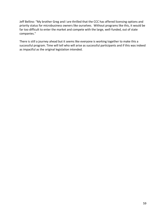Jeff Bellino: "My brother Greg and I are thrilled that the CCC has offered licensing options and priority status for microbusiness owners like ourselves. Without programs like this, it would be far too difficult to enter the market and compete with the large, well-funded, out of state companies."

There is still a journey ahead but it seems like everyone is working together to make this a successful program. Time will tell who will arise as successful participants and if this was indeed as impactful as the original legislation intended.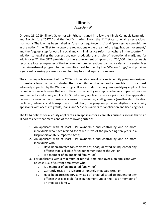# **Illinois**

### *Akele Parnell*

On June 25, 2019, Illinois Governor J.B. Pritzker signed into law the Illinois Cannabis Regulation and Tax Act (the "CRTA" and the "Act"), making Illinois the 11<sup>th</sup> state to legalize recreational marijuana. The law has been hailed as "the most equity-centric" and "progressive cannabis law in the nation," the "first to incorporate reparations – the dream of the legalization movement," and the "biggest step forward in social and criminal justice reform anywhere in the country." In addition to legalizing the possession, use, production, and sale of recreational marijuana for adults over 21, the CRTA provides for the expungement of upwards of 700,000 minor cannabis records, allocates a quarter of the tax revenue from recreational cannabis sales and licensing fees to a reinvestment program for communities most harmed by the "War on Drugs," and provides significant licensing preferences and funding to social equity businesses.

The crowning achievement of the CRTA is its establishment of a social equity program designed to create a legal cannabis industry that is equitable, diverse, and accessible to those most adversely impacted by the War on Drugs in Illinois. Under the program, qualifying applicants for cannabis business licenses that are sufficiently owned by or employ adversely impacted persons are deemed social equity applicants. Social equity applicants receive priority in the application process for new cannabis business licenses: dispensaries, craft growers (small-scale cultivation facilities), infusers, and transporters. In addition, the program provides eligible social equity applicants with access to grants, loans, and 50% fee-waivers for application and licensing fees.

The CRTA defines social equity applicant as an applicant for a cannabis business license that is an Illinois resident that meets one of the following criteria:

- 1. An applicant with at least 51% ownership and control by one or more individuals who have resided for at least five of the preceding ten years in a Disproportionately Impacted Area;
- 2. An applicant with at least 51% ownership and control by one or more individuals who:
	- i. Have been arrested for, convicted of, or adjudicated delinquent for any offense that is eligible for expungement under the Act; or
	- ii. Is a member of an impacted family; [or]
- 3. For applicants with a minimum of ten full-time employees, an applicant with at least 51% of current employees who:
	- i. Is a member of an impacted family; [or]
	- ii. Currently reside in a Disproportionately Impacted Area; or
	- iii. Have been arrested for, convicted of, or adjudicated delinquent for any offense that is eligible for expungement under the Act or member of an impacted family.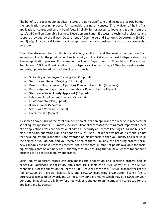The benefits of social equity applicant status are quite significant and include: 1) a 20% bonus in the application scoring process for cannabis business licenses, 2) a waiver of half of all application, license, and surety bond fees, 3) eligibility for access to loans and grants from the state's \$30 million Cannabis Business Development Fund, 4) access to technical assistance and support provided by the Illinois Department of Commerce and Economic Opportunity (DCEO), and 5) eligibility to participate in a state-approved cannabis business incubator or sponsorship program.

Given the sheer number of Illinois social equity applicants and the level of competition from general applicants, the point value of social equity applicant status is almost indispensable in the license application process. For example, the Illinois Department of Financial and Professional Regulation (IDFPR) will rank applicants for dispensary licenses using a 250-point scoring system and assign points based on the following ten criteria:

- Suitability of Employee Training Plan (15 points)
- Security and Record Keeping (65 points)
- Business Plan, Financials, Operating Plan, and Floor Plan (65 points)
- Knowledge and Experience in Cannabis or Related Fields (30 points)
- **Status as a Social Equity Applicant (50 points)**
- Labor and Employment Practices (5 points)
- Environmental Plan (5 points)
- Illinois Owner (5 points)
- Status as a Veteran (5 points)
- Diversity Plan (5 points)

As shown above, 20% of the total number of points that an applicant can receive is reserved for social equity applicants. This makes social equity applicant status the third most important aspect of an application after core operational criteria – security and record keeping (26%) and business plan, financials, operating plan, and floor plan (26%). And, unlike the two previous criteria, points for social equity applicant status are awarded on binary basis-either you qualify and receive all the points, or you do not, and you receive none of them. Similarly, the licensing process for all new cannabis business licenses reserves 20% of the total number of points available for social equity applicants on a binary basis, thereby virtually ensuring that all new licenses for cannabis business will go to social equity applicants.

Social equity applicant status can also makes the application and licensing process half as expensive. Qualifying social equity applicants are eligible for a 50% waiver of 1) the \$5,000 cannabis business application fee, 2) the \$5,000 infuser license fee, \$10,000 transporter license fee, \$40,000 craft grower license fee, and \$60,000 dispensing organization license fee to purchase a license upon award, and 3) the surety bond premiums which may be \$1,000 per year, per bond. In each case, eligibility for a fee waiver is subject to an income and license cap for the applicant and its owners.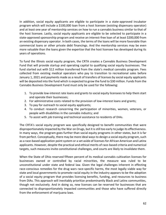In addition, social equity applicants are eligible to participate in a state-approved incubator program which will include a \$100,000 loan from a host licensee (existing dispensary operator) and at least one year of mentorship services on how to run a cannabis business similar to that of the host licensee. Lastly, social equity applicants are eligible to be selected to participate in a state-approved sponsorship program and receive an interest-free loan of at least \$200,000 from an existing dispensary operator. In both cases, the terms of the loans will be more favorable than commercial loans or other private debt financings. And the mentorship services may be even more valuable than the loans given the expertise that the host licensee has developed during its years of operations.

To fund the Illinois social equity program, the CRTA creates a Cannabis Business Development Fund that will provide startup and operating capital to qualifying social equity businesses. The fund started out with \$12 million transferred from the state's medical cannabis program. Fees collected from existing medical operators who pay to transition to recreational sales before January 1, 2021 and payments made as a result of transfers of licenses by social equity applicants will be deposited into the fund which is expected to grow the fund to \$30 million. Funds from the Cannabis Business Development Fund must only be used for the following:

- 1. To provide low-interest rate loans and grants to social equity licensees to help them start and operate their businesses;
- 2. For administrative costs related to the provision of low-interest loans and grants;
- 3. To pay for outreach to social equity applicants;
- 4. To conduct research concerning the participation of minorities, women, veterans, or people with disabilities in the cannabis industry; and
- 5. To assist with job training and technical assistance to residents of DIAs.

The CRTA's social equity program was specifically designed to benefit communities that were disproportionately impacted by the War on Drugs, but it is still too early to judge its effectiveness. In many ways, the program goes further than social equity programs in other states, but it is far from perfect. Conceptually, there may be more ideal ways to design a social equity program, such as a race-based application point system or a set aside of licenses for African American and Latinx applicants. However, despite the practical and ethical merits of race-based criteria and numerical targets, such measures invite constitutional challenges, and courts are likely to invalidate them.

When the State of Ohio reserved fifteen percent of its medical cannabis cultivation licenses for businesses owned or controlled by racial minorities, the measure was ruled to be unconstitutional under state and federal law. Given the legal challenges inherent in effecting race-conscious remedies for the drug wars race-specific harms, the most legally viable way for state and local governments to promote racial equity in the industry appears to be the adoption of a social equity program that provides licensing benefits, funding, and resources to business from DIAs. This approach will inevitably prioritize predominantly Black and Latinx communities, though not exclusively. And in doing so, new licenses can be reserved for businesses that are connected to disproportionately impacted communities and those who have suffered directly from the enforcement of marijuana laws.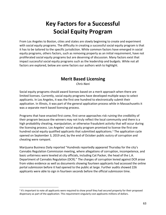# **Key Factors for a Successful Social Equity Program**

From Los Angeles to Boston, cities and states are slowly beginning to create and experiment with social equity programs. The difficulty in creating a successful social equity program is that it has to be tailored to the specific jurisdiction. While common factors have emerged in social equity programs, others factors, such as removing property as an initial requirement, have not proliferated social equity programs but are deserving of discussion. Many factors exist that impact successful social equity programs such as the leadership and budgets. While not all factors are explored, below are some factors our authors wish to highlight.

# **Merit Based Licensing**

*Chris Nani*

Social equity programs should award licenses based on a merit approach when there are limited licenses. Currently, social equity programs have developed multiple ways to select applicants. In Los Angeles, it was the first one hundred to electronically submit their application. In Illinois, it was part of the general application process while in Massachusetts it was a separate merit based licensing process.

Programs that have enacted first come, first serve approaches risk ruining the credibility of their program because the winners may not truly reflect the local community and there is a high probability cheating, manipulation, or otherwise fraudulent activity that will occur during the licensing process. Los Angeles' social equity program promised to license the first one hundred social equity qualified applicants that submitted applications.<sup>1</sup> The application cycle opened on September 3, 2019 and, by the end of October public outcry of corruption and cheating were rampant.

Marijuana Business Daily reported "Hundreds reportedly appeared Thursday for the city's Cannabis Regulation Commission meeting, where allegations of corruption, incompetence, and basic unfairness were leveled at city officials, including Cat Packer, the head of the L.A. Department of Cannabis Regulation (DCR)." The charges of corruption levied against DCR arose from video evidence as well as documents showing fourteen applicants had accessed the online portal submission before it had opened to the public at large. Further audits showed 226 applicants were able to sign in fourteen seconds before the official submission time.

<sup>&</sup>lt;sup>1</sup> It's important to note all applicants were required to show proof they had secured property for their proposed dispensary as part of the application. This requirement singularly cost applicants millions of dollars.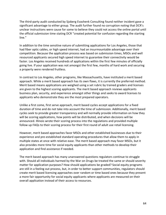The third-party audit conducted by Sjoberg Evashenk Consulting found neither incident gave a significant advantage to either group. The audit further found no corruption noting that DCR's unclear instructions were cause for some to believe they could not access the online portal until the official submission time stating DCR "created potential for confusion regarding the starting line."

In addition to the time sensitive nature of submitting applications for Los Angeles, those that had fiber optic cables, or high speed internet, had an insurmountable advantage over their competition. Because the application process was based on submission times, MSOs and well resourced applicants secured high speed internet to guarantee their connectivity would be faster. Los Angeles received hundreds of applications within the first few minutes of officially going live. If your application was not amongst the first few, months of hard work and securing a property were rendered fruitless.

In contrast to Los Angeles, other programs, like Massachusetts, have instituted a merit based approach. While a merit based approach has its own flaws, it is currently the preferred method. Merit based means applications are weighed using a set rubric by trained graders and licenses are given to the highest scoring applicants. The merit based approach reviews applicants business plan, security, and experience amongst other things and seeks to award licenses to applicants who demonstrate they are the most prepared operators.

Unlike a first come, first serve approach, merit based cycles accept applications for a fixed duration of time and do not take into account the time of submission. Additionally, merit based cycles seek to provide greater transparency and will normally provide information on how they will be scoring applications, how points will be distributed, and when decisions will be announced. Illinois wrote their scoring process into the regulations and provided multiple follow up FAQs to their scoring process for their first round of adult use retail licensing.

However, merit based approaches favor MSOs and other established businesses due to their experience and pre-established standard operating procedures that allow them to apply in multiple states at once with relative ease. The merit based approach may favor MSOs, but it also provides more time for social equity applicants than other methods to develop their application and find assistance if needed.

The merit based approach has many unanswered questions regulators continue to struggle with. Should all individuals harmed by the War on Drugs be treated the same or should severity matter for application purposes? How should applications be graded? Social equity programs are still in a feeling out process, but, in order to better support communities, regulators should create merit based licensing approaches over random or time based ones because they present a more fair opportunity for social equity applicants where applicants are measured on their overall application instead of their access to resources.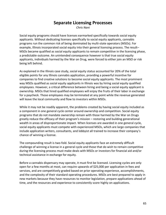# **Separate Licensing Processes**

*Chris Nani*

Social equity programs should have licenses earmarked specifically towards social equity applicants. Without dedicating licenses specifically to social equity applicants, cannabis programs run the common risk of being dominated by multi-state operators (MSOs). For example, Illinois incorporated social equity into their general licensing process. The result– MSOs became qualified as social equity applicants to remain competitive in the licensing phase, a predictable outcome. An unintended consequence however is that true social equity applicants, individuals harmed by the War on Drug, were forced to either join an MSO or risk being left behind.

As explained in the Illinois case study, social equity status accounted for 20% of the total eligible points for any Illinois cannabis application, providing a powerful incentive for companies to find creative solutions to become social equity applicants. The most prominent way MSOs qualified as social equity applicants in Illinois was by hiring social equity qualified employees. However, a critical difference between hiring and being a social equity applicant is ownership. MSOs that hired qualified employees will enjoy the fruits of their labor in exchange for a paycheck. Those employees may be terminated at any point while the revenue generated will leave the local community and flow to investors within MSOs.

While it may not be readily apparent, the problems created by having social equity included as a component in one general cycle center around ownership and competition. Social equity programs that do not mandate ownership remain with those harmed by the War on Drugs greatly reduce the efficacy of their program's mission – restoring and building generational wealth in areas of disproportionate impact. When licenses are awarded in one general cycle, social equity applicants must compete with experienced MSOs, which are large companies that include application writers, consultants, and lobbyist all trained to increase their company's chance of winning a license.

The compounding result is two-fold. Social equity applicants face an extremely difficult challenge of winning a license in a general cycle and those that do wish to remain competitive during the licensing process must make deals with MSOs or investors for financial aid and/or technical assistance in exchange for equity.

Before a cannabis dispensary may operate, it must first be licensed. Licensing cycles are only open for a few months at most, can require upwards of \$25,000 per application in fees and services, and are competitively graded based on prior operating experience, accomplishments, and the complexity of their standard operating procedures. MSOs are best prepared to apply in new markets because they have resources to monitor legislation, prepare applications ahead of time, and the resources and experience to consistently score highly on applications.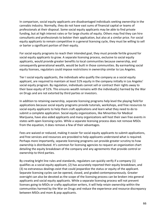In comparison, social equity applicants are disadvantaged individuals seeking ownership in the cannabis industry. Normally, they do not have vast sums of financial capital or teams of professionals at their disposal. Some social equity applicants may be able to find private funding, but at high interest rates or for large chunks of equity. Others may find they can hire consultants and professionals to bolster their application, but also at a similar price. For social equity applicants to remain competitive in a general licensing cycle, they must be willing to sell or barter a significant portion of their equity.

For social equity programs to reach their intended goal, they must provide fertile ground for social equity applicants to grow. A separate licensing process, exclusive to social equity applicants, would provide greater benefits to local communities because ownership, and consequently generational wealth, would be built in those communities. By earmarking social equity licenses, regulators could impose restrictions in ownership similar to Los Angeles.

Tier I social equity applicants, the individuals who qualify the company as a social equity applicant, are required to maintain at least 51% equity in the company initially in Los Angeles' social equity program. By regulation, individuals cannot sell or contract their rights away to their base equity of 51%. This ensures wealth remains with the individual(s) harmed by the War on Drugs and are not extorted by third parties or investors.

In addition to retaining ownership, separate licensing programs help level the playing field for applications because social equity programs provide tutorials, workshops, and free resources to social equity applicants to help them craft applications and learn what they need to do to submit a complete application. Social equity organizations, like Minorities for Medical Marijuana, have also aided applicants and many organizations will host their own free events in states with open licensing cycles. While a separate licensing process does not remove MSOs from the equation, it does remove a few of their advantages.

Fees are waived or reduced, making it easier for social equity applicants to submit applications, and free services and resources are provided to help applicants understand what is required. Perhaps more importantly, separate licensing programs can provide greater scrutiny to how ownership is distributed. It's common for licensing agencies to request an organization chart detailing the equity breakdown of the company and any agreements that provide control or ownership to third parties.

By creating bright line rules and standards, regulators can quickly verify if a company (1) qualifies as a social equity applicant, (2) has accurately reported their equity breakdown, and (3) no extraneous dealings exist that could jeopardize the status or equity of the applicant. Separate licensing cycles can be opened, closed, and graded contemporaneously. Greater oversight can also be devoted as the scope of the licensing process can be broken into general applicants and social equity applicants. While a separate licensing process will not prevent licenses going to MSOs or crafty application writers, it will help retain ownership within the communities harmed by the War on Drugs and reduce the experience and resource discrepancy between MSOs and mom & pop applicants.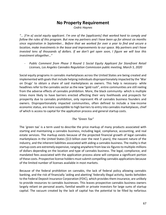# **No Property Requirement**

*Cedric Haynes*

"... [I'm a] social equity applicant. I'm one of the [applicants] that worked hard to comply and *follow the rules of this program. But now my partners and I have been up for almost six months since registration in September… Before that we worked for over a year to find and secure a location, make investments in the lease and improvements to our space. My partners and I have invested tens of thousands of dollars. If we don't get open soon, I figure we will lose this investment altogether…"*

- *Public Comment from Phase 3 Round 1 Social Equity Applicant for Storefront Retail Licenses, Los Angeles Cannabis Regulation Commission public meeting, March 5, 2020*

Social equity programs in cannabis marketplaces across the United States are being created and implemented with goals that include helping individuals disproportionately impacted by the 'War on Drugs' to obtain a share of said marketplaces as owners. This help is necessary- while headlines refer to the cannabis sector as the new "gold rush", entire communities are still reeling from the adverse effects of cannabis prohibition. More, the black community- which is multiple times more likely to have barriers erected affecting their very livelihoods and prospects for prosperity due to cannabis prohibition, only represent 4% of cannabis business founders and owners. Disproportionately impacted communities, often defined to include a low-income economic status, are more susceptible to high barriers to entry into cannabis marketplaces, chief of which is access to capital for the application process and general startup costs.

### *The "Green Tax"*

The 'green tax' is a term used to describe the price markup of many products associated with starting and maintaining a cannabis business, including legal, compliance, accounting, and real estate services. The markup exists because of the projected financial growth of legal cannabis marketplaces in the United States (\$13 billion over the next 5 years), the nascent nature of the industry, and the inherent liabilities associated with aiding a cannabis business. The reality is that startup costs are extremely expensive, ranging anywhere from low six-figures to multiple-millions of dollars depending on the location and type of cannabis business. The legal, compliance, and mandated fees associated with the application process alone will compose a significant portion of these costs. Prospective license holders must submit compelling cannabis applications because of the limited number of licenses available in most markets.

Because of the federal prohibition on cannabis, the lack of federal policy allowing cannabis banking, and the risk of financially 'aiding and abetting' federally illegal activity, banks beholden to the Federal Deposit Insurance Corporation (FDIC), which provides them insurance, are unlikely to provide resources to cannabis businesses. This leaves prospective cannabis business owners largely reliant on personal assets, familial wealth or private investors for large sums of startup capital. The vacuum created by the lack of capital has the potential to be filled by nefarious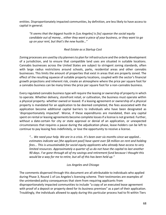entities. Disproportionately impacted communities, by definition, are less likely to have access to capital in general.

*"It seems that the biggest hustle in [Los Angeles] is [to] squeeze the social equity candidate out of money… either they want a piece of your business, or they want to go up on your rent, but that's the new hustle…"*

### *Real Estate as a Startup Cost*

Zoning processes are used by city planners to plan for infrastructure and the orderly development of a jurisdiction, and to ensure that compatible land uses are situated in suitable locations. Cannabis businesses across the United States are subject to stringent zoning standards, often with large radius restrictions around schools, parks, residential areas and other cannabis businesses. This limits the amount of properties that exist in areas that are properly zoned. The effect of the resulting squeeze of suitable property locations, coupled with the sector's financial growth projections and inherent risk, create an atmosphere where the price per square foot for a cannabis business can be many times the price per square foot for a non-cannabis business.

Every regulated cannabis business type will require the leasing or ownership of property in which to operate. Whether delivery, storefront retail, or cultivation, the business must operate within a physical property- whether owned or leased. If a leasing agreement or ownership of a physical property is mandated for an application to be deemed completed, the fees associated with the application become additional capital barriers to individuals who have been designated as 'disproportionately impacted'. Worse, if these expenditures are mandated, then any capital spent on rental or leasing agreements become complete losses if a license is not granted. Further, without a date-certain for city or state approval or denial of an application, or unexpected circumstances that requires a pause during the adjudication phase, lease-holders can be left to continue to pay leasing fees indefinitely, or lose the opportunity to receive a license.

*"... We need your help. We are in a crisis. It's been over six months since we applied… estimates indicate we [the applicant pool] have spent over \$8 million on rent and holding fees... This is unsustainable for social equity applicants who already have access to very limited resources. Approximately a quarter of us do not have the capital to last another 90 days. I've gone through alI of my savings and retirement fund because I thought this would be a way for me to retire, but all of this has been held up."*

### *Los Angeles and Chicago*

The comments dispersed through this document are all attributable to individuals who applied during Phase 3, Round 1 of Los Angeles's licensing scheme. Their testimonies are examples of the unintended policy consequences that stem from requiring applicants from disproportionately impacted communities to include "a copy of an executed lease agreement with proof of a deposit or property deed for its business premises" as a part of their application. Troublingly, the individuals allowed to apply during this particular process had to fit within Tiers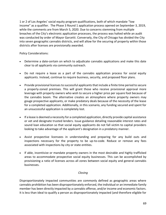1 or 2 of Los Angeles' social equity program qualifications, both of which mandate "low income" as a qualifier. The Phase 3 Round 1 application process opened on September 3, 2019, while the comments are from March 5, 2020. Due to concerns stemming from multiple breaches of the City's electronic application processes, the process was halted while an audit was conducted by order of Mayor Garcetti. Conversely, the City of Chicago has divided the City into seven geographic cannabis districts, and will allow for the securing of property within those districts after licenses are provisionally awarded.

Policy Considerations:

- Determine a date-certain on which to adjudicate cannabis applications and make this date clear to all applicants via community outreach.
- Do not require a lease as a part of the cannabis application process for social equity applicants. Instead, continue to require business, security, and proposed floor plans.
- Provide provisional licenses to successful applicants that include a finite time period to secure a properly-zoned premises. This will grant those who receive provisional approval more leverage with property owners who wish to secure a higher price per square foot because of the cannabis boom. The alternative creates an atmosphere where property owners may gouge prospective applicants, or make predatory deals because of the necessity of the lease for a completed application. Additionally, in this scenario, any funding secured and spent for an unsuccessful application is completely lost.
- If a lease is deemed a necessity for a completed application, directly provide capital assistance or vet and designate trusted lenders. Issue guidance detailing reasonable interest rates and sound loan education so that social equity applicants do not fall victim to capital providers looking to take advantage of the applicant's designation in a predatory manner.
- Assist prospective licensees in understanding and preparing for any build outs and inspections necessary for the property to be up-to-code. Reduce or remove any fees associated with inspections by city or state entities.
- If able, incentivize or mandate property owners in the most desirable and highly trafficked areas to accommodate prospective social equity businesses. This can be accomplished by provisioning a ratio of licenses across all zones between social equity and general cannabis businesses.

### *Closing*

Disproportionately impacted communities are commonly defined as geographic areas where cannabis prohibition has been disproportionately enforced, the individual or an immediate family member has been directly impacted by a cannabis offense, and/or income and economic factors. It is less than ideal to qualify a person as disproportionately impacted (and therefore eligible for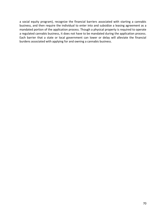a social equity program), recognize the financial barriers associated with starting a cannabis business, and then require the individual to enter into and subsidize a leasing agreement as a mandated portion of the application process. Though a physical property is required to operate a regulated cannabis business, it does not have to be mandated during the application process. Each barrier that a state or local government can lower or delay will alleviate the financial burdens associated with applying for and owning a cannabis business.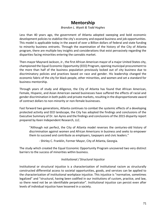# **Mentorship**

### *Brandon L. Wyatt & Todd Hughes*

Less than 40 years ago, the government of Atlanta adopted sweeping and bold economic development policies to stabilize the city's economy and expand business and job opportunities. This model is applicable today in the award of over a Billion dollars of federal and state funding to minority business entrants. Through the examination of the history of the City of Atlanta program, there are multiple key insights and considerations that exist pervasively regarding the disparities facing minorities entering the cannabis market.

Then-mayor Maynard Jackson, Jr., the first African American mayor of a major United States city, championed the Equal Economic Opportunity (EEO) Program, opening municipal procurement to the more than half of the business population previously locked out of city business due to discriminatory policies and practices based on race and gender. His leadership changed the economic fabric of the city for black people, other minorities, and women and set a standard for business mentorship.

Through years of study and diligence, the City of Atlanta has found that African American, Female, Hispanic, and Asian American owned businesses have suffered the effects of racial and gender discrimination in both public and private markets, resulting in the disproportionate award of contract dollars to non-minority or non-female businesses.

Fast forward two generations, Atlanta continues to combat the systemic effects of a developing protected activity and EEO landscape, the City has adopted the findings and conclusions of the Executive Summary of Dr. Ian Ayres and the findings and conclusions of the 2015 disparity report prepared by Keen Independent Research, LLC.

"Although not perfect, the City of Atlanta model reverses the centuries-old history of discrimination against women and African Americans in business and seeks to empower them to succeed and contribute as employers, taxpayers and civic leaders."

- Shirley C. Franklin, Former Mayor, City of Atlanta, Georgia.

The study which created the Equal Economic Opportunity Program uncovered two very distinct barriers to the success of minorities within business.

### *Institutional / Structural Injustice*

Institutional or structural injustice is a characterization of institutional racism as structurally constructed differential access to societal opportunities, goods, and services can be applied to the characterization of institutional workplace injustice. This injustice is "normative, sometimes legalized" and "structural, having been codified in our institutions of custom, practice, and law, so there need not be an identifiable perpetrator". Institutional injustice can persist even after levels of individual injustice have lessened in a society.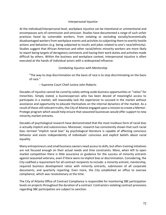### *Interpersonal Injustice*

At the individual/interpersonal level, workplace injustice can be intentional or unintentional and encompasses acts of commission and omission. Studies have documented a range of such unfair practices faced by vulnerable workers, from isolating or excluding socially/economically disadvantaged workers from workplace events and activities to subjecting them to overtly hostile actions and behaviors (e.g. being subjected to insults and jokes related to one's race/ethnicity). Studies suggest that African-American and other racial/ethnic minority workers are more likely to report being targets of derogatory comments and having their work duties and activities made difficult by others. Within the business and workplace context, interpersonal injustice is often executed at the hands of individual actors with a widespread influence.

### *Combating Injustice with Mentorship*

"The way to stop discrimination on the basis of race is to stop discriminating on the basis of race."

– Supreme Court Chief Justice John Roberts

Decades of injustice cannot be cured by solely setting aside business opportunities or "ratios" for minorities. Simply stated, a businessperson who has been devoid of meaningful access to participate in a market, will reasonably lack the experience to succeed in the market without assistance and opportunity to educate themselves on the internal dynamics of the market. As a result of these still relevant truths, the City of Atlanta engaged upon a mission to create a Mentor-Protege program which would help ensure that seasoned businesses would offer support to new minority market entrants.

Decades of psychological research have demonstrated that the most insidious form of racial bias is actually implicit and subconscious. Moreover, research has consistently shown that such racial bias--termed "implicit racial bias" by psychological literature is capable of affecting conscious behavior and exists independently of individuals' conscious and explicit beliefs about racial equality.

Many entrepreneurs and small business owners need access to skills, but often-training initiatives are not focused enough on their actual needs and time constraints. More, when left to open market competition there is little assurance or guidance for the success of minority entrants against seasoned veterans, even if there were no implicit bias or discrimination. Considering, the City codified a requirement for all contract recipients to include: a minority entrant, mentorship, required business development ratios with minority entrants, submission of all corporate documents, and quarterly reporting. Even more, the City established an office to oversee compliance, which was revolutionary at the time.

The City of Atlanta Office of Contract Compliance is responsible for monitoring SBE participation levels on projects throughout the duration of a contract. Contractors violating contract provisions regarding SBE participation are subject to sanction.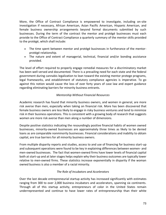More, the Office of Contract Compliance is empowered to investigate, including on-site investigation if necessary, African American, Asian Pacific American, Hispanic American, and female business ownership arrangements beyond formal documents submitted by such businesses. During the term of the contract the mentor and protégé businesses must each provide to the Office of Contract Compliance a quarterly summary of the mentor skills provided to the protégé, which shall include:

- The time spent between mentor and protégé businesses in furtherance of the mentorprotégé relationship.
- The nature and extent of managerial, technical, financial and/or bonding assistance provided.

The level of effort required to properly engage remedial measures for a discriminatory market has been well versed and documented. There is a prevailing need for each state and the federal government during cannabis legalization to lean toward the existing mentor protege programs, legal frameworks, and establishment of statutory compliance agencies is imperative. To go against this notion would cause the loss of over forty years of case law and expert guidance regarding eliminating barriers for minority business entrants.

# *Mentorship Without Financial Resources*

Academic research has found that minority business owners, and women in general, are more risk averse than men, especially when taking on financial risk. More has been discovered that female business owners are less likely to engage in risky business ventures and tend to minimize risk in their business operations. This is consistent with a growing body of research that suggests women are more risk averse than men along a number of dimensions.

Despite positive statistics indicating the resoundingly positive financial habits of women owned businesses, minority-owned businesses are approximately three times as likely to be denied loans as are comparable nonminority businesses. Financial considerations and inability to obtain capital, are true barriers for all minority business owners.

From multiple disparity reports and studies, access to and use of financing for business start-up and subsequent operations were found to be key in explaining differences between women- and men-owned businesses. The fact that women-owned firms have lower levels of financial capital both at start-up and at later stages helps explain why their business outcomes are typically lower relative to men-owned firms. These statistics increase exponentially in disparity if the woman owned business is also a member of a racial minority.

# *The Role of Incubators and Accelerators*

Over the last decade entrepreneurial startup activity has increased significantly with estimates ranging from 300 to over 2,000 business incubators and accelerators, spanning six continents. Through all of this startup activity, entrepreneurs of color in the United States remain underrepresented and continue to have lower rates of entrepreneurship than their white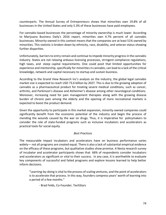counterparts. The Annual Survey of Entrepreneurs shows that minorities own 19.8% of all businesses in the United States and only 5.3% of these businesses have paid employees.

For cannabis-based businesses the percentage of minority ownership is much lower. According to Marijuana Business Daily's 2016 report, minorities own 4.7% percent of all cannabis businesses. Minority-owned in this context means that the companies are at least 51% owned by minorities. This statistic is broken down by ethnicity, race, disability, and veteran status showing further disparities.

Unfortunately, barriers to entry remain and continue to impede minority progress in the cannabis industry. States are not relaxing arduous licensing processes, stringent compliance regulations, high taxes, and steep capital requirements. One could posit that limited opportunities for experience and mentorship, specifically for minorities in cannabis, can lead to a lack of the critical knowledge, network and capital necessary to startup and sustain business.

According to the Grand View Research Inc's analysis on the industry, the global legal cannabis market size is expected to reach USD 73.6 billion by 2027. This is due to the growing adoption of cannabis as a pharmaceutical product for treating severe medical conditions, such as cancer, arthritis, and Parkinson's disease and Alzheimer's disease among other neurological conditions. Moreover, increasing need for pain management therapies along with the growing disease burden of chronic pain among the elderly and the opening of more recreational markets is expected to boost the product demand.

Given the opportunity to participate in this market expansion, minority-owned companies could significantly benefit from the economic potential of the industry and begin the process of mending the wounds caused by the war on drugs. Thus, it is imperative for policymakers to consider the role of state-funded programs such as inclusive incubators and accelerators as practical tools for social equity.

### *Best Practices*

The measurable impact incubators and accelerators have on business performance varies widely— not all programs are created equal. There is also a lack of substantial empirical evidence on the efficacy of these programs, but qualitative studies show promise. A Nesta research survey of incubator and accelerator participants shows that 66% of respondents consider incubators and accelerators as significant or vital to their success. In any case, it is worthwhile to evaluate key components of successful and failed programs and explore lessons learned to help better inform decisions.

"Learning-by-doing is vital to the process of scaling ventures, and the point of accelerators is to accelerate that process. In this way, founders compress years' worth of learning into a period of a few months."

- Brad Felds, Co-Founder, TechStars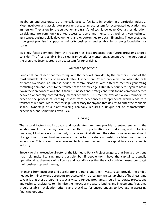Incubators and accelerators are typically used to facilitate innovation in a particular industry. Most incubator and accelerator programs create an ecosystem for accelerated education and immersion. They allow for the cultivation and transfer of tacit knowledge. Over a short duration, participants are commonly granted access to peers and mentors, as well as given technical assistance, business skills development, and opportunities to obtain financing. These programs show great promise in supporting minority businesses and establishing a strong foundation for scaling.

Two key factors emerge from the research as best practices that future programs should consider. The first is establishing a clear framework for mentor engagement over the duration of the program. Second, create an ecosystem for fundraising.

## *Mentor Engagement*

Bone et al. concluded that mentoring, and the network provided by the mentors, is one of the most valuable elements of an accelerator. Furthermore, Cohen proclaims that what she calls "mentor overload", an intense period of communications with different mentors generating conflicting opinions, leads to the transfer of tacit knowledge. Ultimately, founders began to break down their preconceptions about their businesses and strategy and start to find common themes between apparently contradictory mentor feedback. This mentor overload allows founders to expedite the process of learning lessons from experienced entrepreneurs, which leads to a transfer of wisdom. More, mentorship is necessary for anyone that desires to enter the cannabis space. Ownership of a plant-touching company requires a unique set of characteristics, experience, and sometimes even luck.

### *Financing*

The second factor that incubator and accelerator programs provide to entrepreneurs is the establishment of an ecosystem that results in opportunities for fundraising and obtaining financing. Most accelerators not only provide an initial stipend, they also convene an assortment of angel investors and business owners in order to cultivate relationships for later investment or acquisition. This is even more relevant to business owners in the capital intensive cannabis industry.

Steve Hawkins, executive director of the Marijuana Policy Project suggests that Equity provisions may help make licensing more possible, but if people don't have the capital to actually operationalize, they may win a license and later discover that they lack sufficient resources to get their business up and running.

Financing from incubator and accelerator programs and their investors can provide the bridge needed for minority entrepreneurs to successfully matriculate the startup phase of business. One caveat is that these programs, especially state-funded programs, should incorporate protections and technical assistance to minimize the impact of predatory lending and investment. Programs should establish evaluation criteria and checklists for entrepreneurs to leverage in assessing financing options.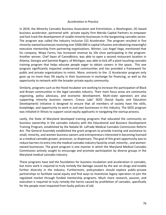#### *Acceleration in Practice*

In 2019, the Minority Cannabis Business Association and EntreVation, a Washington, DC-based business accelerator, partnered with private equity firm Merida Capital Partners to empower and fast-track the development of sizable minority businesses in the burgeoning cannabis sector. The program was called the Industry Inclusive (i2) Accelerator. The program resulted in five minority-owned businesses receiving over \$500,000 in capital infusions and obtaining meaningful executive mentorship from partnering organizations. Winner, Luis Angel Vega, mentioned that his company, Wepa Farms, has increased revenue by 10x since participating in the program. Another winner, Chef Swan of CannaBistro, was able to open a second restaurant location in Atlanta, Georgia and Sammie Rogers, of Michigan, was able to kick off a plant touching cannabis training program that helps educate people eager to obtain careers in the space. This one program significantly impacted underserved communities and has provided a framework for public and private organizations to mimic. More, entrants to the i2 Accelerator program only gave up no more than 3% equity in their businesses in exchange for financing, as well as the opportunity to network with the broader private equity community.

Similarly, programs such as the Hood Incubator are working to increase the participation of Black and Brown communities in the legal cannabis industry. Their main focus areas are community organizing, policy advocacy, and economic development. Multi-state operators are also supporting minority business owners. Cresco Labs' SEED (Social Equity and Education Development) initiative is designed to ensure that all members of society have the skills, knowledge, and opportunity to work in and own businesses in this industry. The SEED program was initiated in Illinois to support social equity applicants in navigating the startup process.

Lastly, the State of Maryland developed training programs that educated the community on business ownership in the cannabis industry with the Educational and Business Development Training Program, established by the Natalie M. LaPrade Medical Cannabis Commission Reform Act. The General Assembly established the grant program to provide training and assistance to small, minority, and women business owners and entrepreneurs interested in becoming licensed as a medical cannabis grower, processor, or dispensary. The goal of this grant opportunity was to reduce barriers to entry into the medical cannabis industry faced by small, minority-, and womenowned businesses. The grant program is one manner in which the Maryland Medical Cannabis Commission actively sought to encourage and promote participation by diverse groups in the Maryland medical cannabis industry.

These programs have laid the foundation for business incubation and acceleration in cannabis, but more work is required to truly remedy the damage caused by the war on drugs and enable further diversity in the industry. Furthermore, policymakers should explore public-private partnerships to facilitate social equity and find ways to incentivize legacy operators to join the regulated market through funded mentorship programs. Much more research, passion, and execution is required to truly remedy the harms caused by prohibition of cannabis, specifically for the people most impacted from faulty policies of old.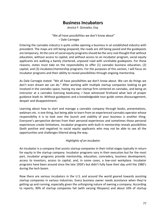# **Business Incubators**

*Jessica F. Gonzalez, Esq.*

### "We all have possibilities we don't know about" – Dale Carnegie

Entering the cannabis industry is quite unlike opening a business in an established industry with precedent. The maps are still being prepared, the roads are still being paved and the guideposts are temporary. At the core of social equity programs should be the very real thought that without education, without access to capital, and without access to an incubator program, social equity applicants are walking a barely chartered, unpaved road with unreliable guideposts. For these reasons, states must take on the responsibility to offer (1) cannabis business education, (2) capital, and (3) incubator/mentorship programs. For the purposes of this section, I will focus on incubator programs and their ability to reveal possibilities through ongoing mentorship.

As Dale Carnegie stated: "We all have possibilities we don't know about. We can do things we don't even dream we can do." After working with multiple startup companies looking to get involved in the cannabis space, having my own startup firm centered on cannabis, and being an instructor at a cannabis licensing bootcamp, I have witnessed firsthand what lack of proper guidance leads to. Without guideposts and a knowledgeable tour guide comes discouragement, despair and disappointment.

Learning about how to start and manage a cannabis company through books, presentations, webinars etc. is one thing, but being able to learn from an experienced cannabis operator whose responsibility it is to look over the launch and viability of your business is another thing. Everyone's perspective derives from their personal experiences and sometimes those personal experiences create limitations. Incubator programs with built in mentorship reveals possibilities (both positive and negative) to social equity applicants who may not be able to see all the opportunities and challenges littered along the way.

# *Highlights of an Incubator*

An incubator is a company that assists startup companies in their initial stages typically in return for equity in the startup company. Incubator programs vary in their execution but for the most part, incubator programs provide mentorship, education, comradery, business development, access to investors, access to capital, and, in some cases, a low-cost workplace. Incubator programs have been around since the late 1950's but didn't fully have their day until the 1980's during the tech boom.

Now there are various incubators in the U.S. and around the world geared towards assisting startup companies in various industries. Every business owner needs assistance when they're getting up and running, especially given the unforgiving nature of owning a company. According to reports, 90% of startup companies fail (with varying lifespans) and about 10% of startup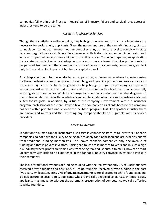companies fail within their first year. Regardless of industry, failure and survival rates across all industries tend to be the same.

## *Access to Professional Services*

Though these statistics are discouraging, they highlight the exact reason cannabis incubators are necessary for social equity applicants. Given the nascent nature of the cannabis industry, startup cannabis companies bear an enormous amount of scrutiny at the state level to comply with state laws and regulations or risk federal interference. With higher stakes comes higher costs, and, without proper guidance, comes a higher probability of loss. To begin preparing an application for a state cannabis license, a startup company must have a team of service professionals to properly advise them and that comes in the forms of lawyers, accountants, consultants, etc. Not only is financial capital important but human capital as well.

An entrepreneur who has never started a company may not even know where to begin looking for these professional and the process of searching and pursuing professional services can also come at a high cost. Incubator programs can help bridge this gap by providing startups with access to a vast network of vetted experienced professionals with a track record of successfully assisting startup companies. While I encourage each company to do their own due diligence on the professionals it works with, incubators can help facilitate introductions to professionals best suited for its goals. In addition, by virtue of the company's involvement with the incubator program, professionals are more likely to take the company on as clients because the company has been vetted prior to its induction to the incubator program. Just like any other industry, there are smoke and mirrors and the last thing any company should do is gamble with its service providers.

### *Access to Investors*

In addition to human capital, incubators also assist in connecting startups to investors. Cannabis companies do not have the luxury of being able to apply for a bank loan and are explicitly cut off from traditional funding mechanisms. This leaves cannabis companies only one avenue of funding and that is private investors. Raising capital can take months to years and in such a high risk industry where profits are years away from being realized (shoutout to 280E), how can a start up company with little to no experience in the cannabis industry convince investors to invest in their company?

The lack of traditional avenues of funding coupled with the reality that only 1% of Black founders received private funding and only 1.8% of Latino founders received private funding in the past five years, while a staggering 77% of private investments were allocated to white founders paints a bleak picture for social equity applicants who are typically people of color. As such, social equity applicants must make do without the automatic presumption of competence typically afforded to white founders.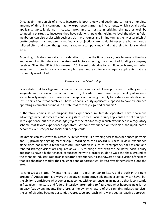Once again, the pursuit of private investors is both timely and costly and can take an endless amount of time if a company has no experience garnering investments, which social equity applicants typically do not. Incubator programs can assist in bridging this gap as well by connecting startups to investors they have relationships with, helping to level the playing field. Incubators can also assist with business plan, pro formas and in fine tuning the investor pitch. A pretty business plan and promising financial projections are no doubt necessary but without a tailored pitch and a well thought out narrative, a company may find that their pitch falls on deaf ears.

According to Forbes, important considerations such as the time of year, detailedness of the data and value of a pitch deck are the strongest factors affecting the amount of funding a company receives. Given that 82% of businesses in 2018 went under due to cash flow problems, garnering investments is crucial for any company but even more so for social equity applicants that are commonly overlooked.

## *Experience and Mentorship*

Every state that has legalized cannabis for medicinal or adult use purposes is betting on the longevity and success of the cannabis industry. In order to maximize the probability of success, states heavily weigh the experience of the applicant looking to apply for a state cannabis license. Let us think about that catch-22—how is a social equity applicant supposed to have experience operating a cannabis business in a state that recently legalized cannabis?

It therefore comes as no surprise that experienced multi-state operators have enormous advantages when it comes to conquering state licenses. Social equity applicants are not equipped with experience but are instead *applying* for the *chance* to gain such experience in a regulatory scheme that favors experienced operators. Without experience on their side, the uphill battle becomes even steeper for social equity applicants.

Incubators can assist with this catch-22 in two ways: (1) providing access to experienced partners and (2) providing ongoing mentorship. According to the Harvard Business Review, experience alone does not make a team successful, but soft skills such as "entrepreneurial passion" and "shared strategic vision" are required as well. By forming a "we" with the incubator, social equity applicant's have a higher chance of succeeding with a proper guide to walk the shaky ground of the cannabis industry. Due to an incubator's experience, it can showcase a solid vision of the path that lies ahead and marker the challenges and opportunities likely to reveal themselves along the way.

As John Crosby stated, "Mentoring is a brain to pick, an ear to listen, and a push in the right direction." Anticipation is always the strongest competitive advantage a company can have, but the ability to anticipate what comes next comes with experience. In an industry that is constantly in flux, given the state and federal interplay, attempting to figure out what happens next is not an easy feat by any means. Therefore, as the dynamic nature of the cannabis industry persists, the art of pivoting becomes essential. A proactive approach will always beat a reactive approach